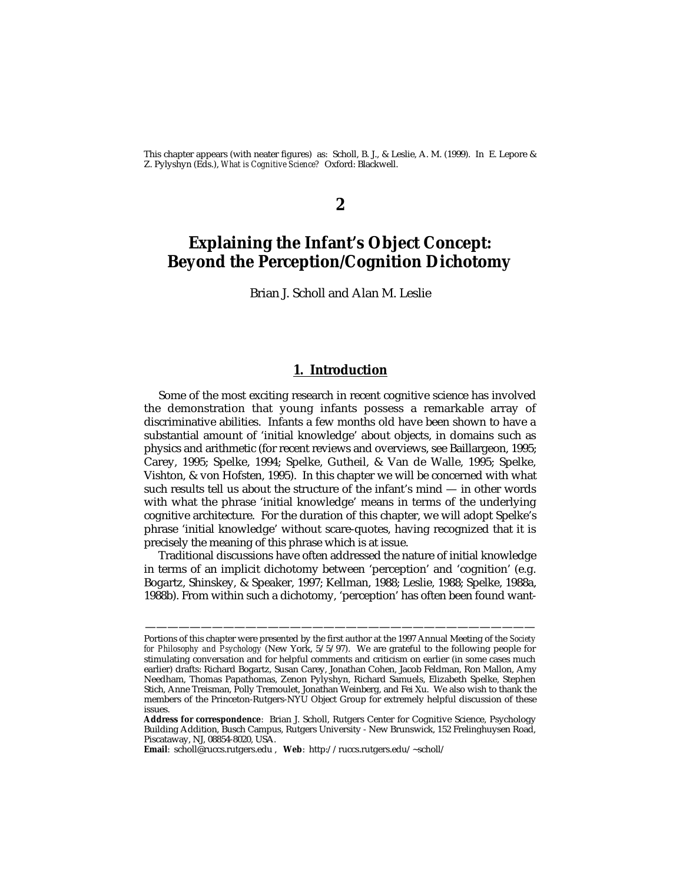This chapter appears (with neater figures) as: Scholl, B. J., & Leslie, A. M. (1999). In E. Lepore & Z. Pylyshyn (Eds.), *What is Cognitive Science?* Oxford: Blackwell.

**2**

# **Explaining the Infant's Object Concept: Beyond the Perception/Cognition Dichotomy**

Brian J. Scholl and Alan M. Leslie

### **1. Introduction**

Some of the most exciting research in recent cognitive science has involved the demonstration that young infants possess a remarkable array of discriminative abilities. Infants a few months old have been shown to have a substantial amount of 'initial knowledge' about objects, in domains such as physics and arithmetic (for recent reviews and overviews, see Baillargeon, 1995; Carey, 1995; Spelke, 1994; Spelke, Gutheil, & Van de Walle, 1995; Spelke, Vishton, & von Hofsten, 1995). In this chapter we will be concerned with what such results tell us about the structure of the infant's mind — in other words with what the phrase 'initial knowledge' means in terms of the underlying cognitive architecture. For the duration of this chapter, we will adopt Spelke's phrase 'initial knowledge' without scare-quotes, having recognized that it is precisely the meaning of this phrase which is at issue.

Traditional discussions have often addressed the nature of initial knowledge in terms of an implicit dichotomy between 'perception' and 'cognition' (e.g. Bogartz, Shinskey, & Speaker, 1997; Kellman, 1988; Leslie, 1988; Spelke, 1988a, 1988b). From within such a dichotomy, 'perception' has often been found want-

———————————————————————————————————

Portions of this chapter were presented by the first author at the 1997 Annual Meeting of the *Society for Philosophy and Psychology* (New York, 5/5/97). We are grateful to the following people for stimulating conversation and for helpful comments and criticism on earlier (in some cases much earlier) drafts: Richard Bogartz, Susan Carey, Jonathan Cohen, Jacob Feldman, Ron Mallon, Amy Needham, Thomas Papathomas, Zenon Pylyshyn, Richard Samuels, Elizabeth Spelke, Stephen Stich, Anne Treisman, Polly Tremoulet, Jonathan Weinberg, and Fei Xu. We also wish to thank the members of the Princeton-Rutgers-NYU Object Group for extremely helpful discussion of these issues.

**Address for correspondence**: Brian J. Scholl, Rutgers Center for Cognitive Science, Psychology Building Addition, Busch Campus, Rutgers University - New Brunswick, 152 Frelinghuysen Road, Piscataway, NJ, 08854-8020, USA.

**Email**: scholl@ruccs.rutgers.edu , **Web**: http://ruccs.rutgers.edu/~scholl/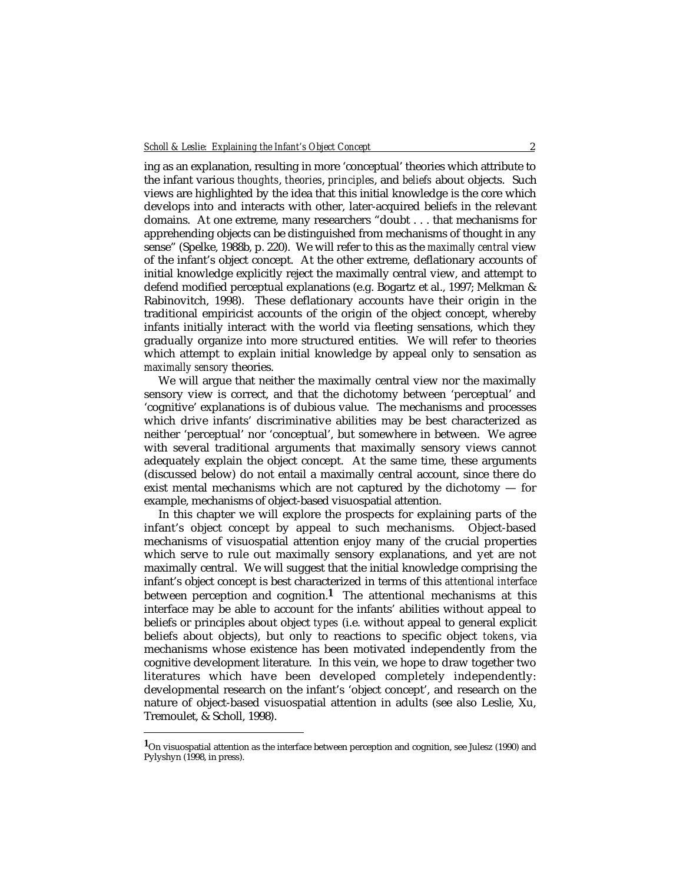ing as an explanation, resulting in more 'conceptual' theories which attribute to the infant various *thoughts*, *theories*, *principles*, and *beliefs* about objects. Such views are highlighted by the idea that this initial knowledge is the core which develops into and interacts with other, later-acquired beliefs in the relevant domains. At one extreme, many researchers "doubt . . . that mechanisms for apprehending objects can be distinguished from mechanisms of thought in any sense" (Spelke, 1988b, p. 220). We will refer to this as the *maximally central* view of the infant's object concept. At the other extreme, deflationary accounts of initial knowledge explicitly reject the maximally central view, and attempt to defend modified perceptual explanations (e.g. Bogartz et al., 1997; Melkman & Rabinovitch, 1998). These deflationary accounts have their origin in the traditional empiricist accounts of the origin of the object concept, whereby infants initially interact with the world via fleeting sensations, which they gradually organize into more structured entities. We will refer to theories which attempt to explain initial knowledge by appeal only to sensation as *maximally sensory* theories.

We will argue that neither the maximally central view nor the maximally sensory view is correct, and that the dichotomy between 'perceptual' and 'cognitive' explanations is of dubious value. The mechanisms and processes which drive infants' discriminative abilities may be best characterized as neither 'perceptual' nor 'conceptual', but somewhere in between. We agree with several traditional arguments that maximally sensory views cannot adequately explain the object concept. At the same time, these arguments (discussed below) do not entail a maximally central account, since there do exist mental mechanisms which are not captured by the dichotomy — for example, mechanisms of object-based visuospatial attention.

In this chapter we will explore the prospects for explaining parts of the infant's object concept by appeal to such mechanisms. Object-based mechanisms of visuospatial attention enjoy many of the crucial properties which serve to rule out maximally sensory explanations, and yet are not maximally central. We will suggest that the initial knowledge comprising the infant's object concept is best characterized in terms of this *attentional interface* between perception and cognition.**1** The attentional mechanisms at this interface may be able to account for the infants' abilities without appeal to beliefs or principles about object *types* (i.e. without appeal to general explicit beliefs about objects), but only to reactions to specific object *tokens*, via mechanisms whose existence has been motivated independently from the cognitive development literature. In this vein, we hope to draw together two literatures which have been developed completely independently: developmental research on the infant's 'object concept', and research on the nature of object-based visuospatial attention in adults (see also Leslie, Xu, Tremoulet, & Scholl, 1998).

**<sup>1</sup>**On visuospatial attention as the interface between perception and cognition, see Julesz (1990) and Pylyshyn (1998, in press).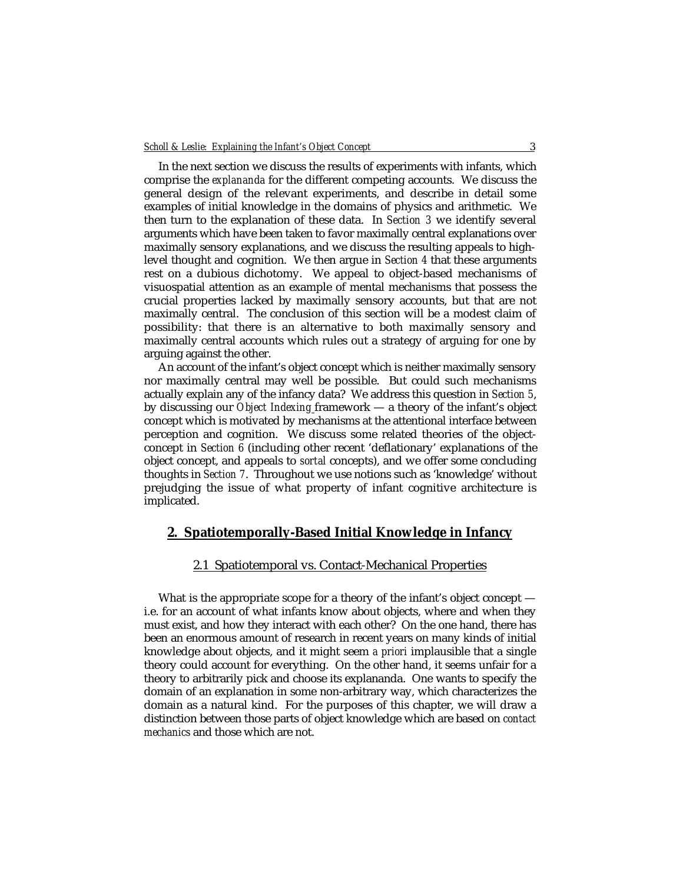In the next section we discuss the results of experiments with infants, which comprise the *explananda* for the different competing accounts. We discuss the general design of the relevant experiments, and describe in detail some examples of initial knowledge in the domains of physics and arithmetic. We then turn to the explanation of these data. In *Section 3* we identify several arguments which have been taken to favor maximally central explanations over maximally sensory explanations, and we discuss the resulting appeals to highlevel thought and cognition. We then argue in *Section 4* that these arguments rest on a dubious dichotomy. We appeal to object-based mechanisms of visuospatial attention as an example of mental mechanisms that possess the crucial properties lacked by maximally sensory accounts, but that are not maximally central. The conclusion of this section will be a modest claim of possibility: that there is an alternative to both maximally sensory and maximally central accounts which rules out a strategy of arguing for one by arguing against the other.

An account of the infant's object concept which is neither maximally sensory nor maximally central may well be possible. But could such mechanisms actually explain any of the infancy data? We address this question in *Section 5*, by discussing our *Object Indexing* framework — a theory of the infant's object concept which is motivated by mechanisms at the attentional interface between perception and cognition. We discuss some related theories of the objectconcept in *Section 6* (including other recent 'deflationary' explanations of the object concept, and appeals to *sortal* concepts), and we offer some concluding thoughts in *Section 7*. Throughout we use notions such as 'knowledge' without prejudging the issue of what property of infant cognitive architecture is implicated.

# **2. Spatiotemporally-Based Initial Knowledge in Infancy**

### 2.1 Spatiotemporal vs. Contact-Mechanical Properties

What is the appropriate scope for a theory of the infant's object concept i.e. for an account of what infants know about objects, where and when they must exist, and how they interact with each other? On the one hand, there has been an enormous amount of research in recent years on many kinds of initial knowledge about objects, and it might seem *a priori* implausible that a single theory could account for everything. On the other hand, it seems unfair for a theory to arbitrarily pick and choose its explananda. One wants to specify the domain of an explanation in some non-arbitrary way, which characterizes the domain as a natural kind. For the purposes of this chapter, we will draw a distinction between those parts of object knowledge which are based on *contact mechanics* and those which are not.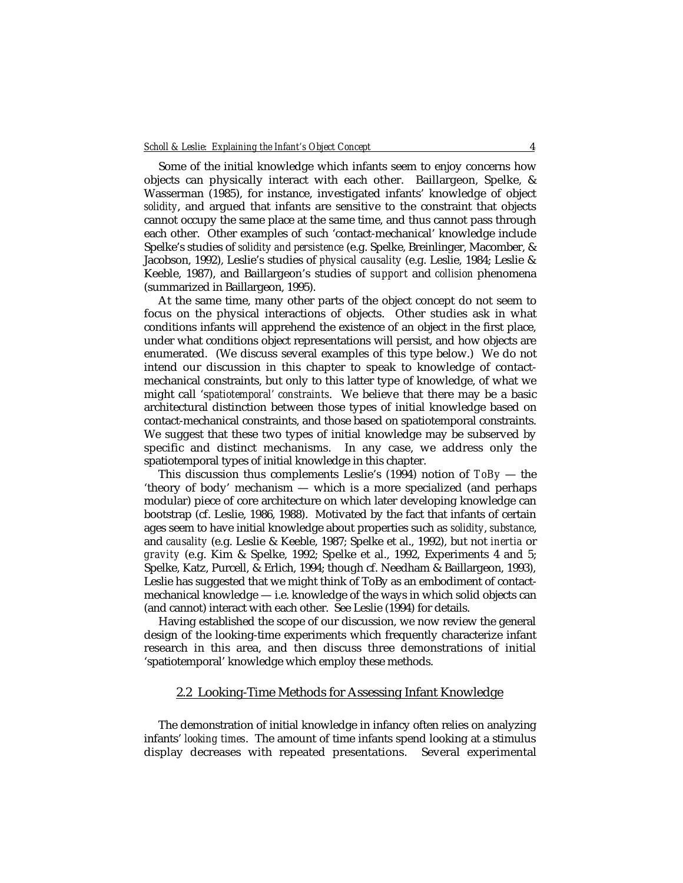Some of the initial knowledge which infants seem to enjoy concerns how objects can physically interact with each other. Baillargeon, Spelke, & Wasserman (1985), for instance, investigated infants' knowledge of object *solidity*, and argued that infants are sensitive to the constraint that objects cannot occupy the same place at the same time, and thus cannot pass through each other. Other examples of such 'contact-mechanical' knowledge include Spelke's studies of *solidity and persistence* (e.g. Spelke, Breinlinger, Macomber, & Jacobson, 1992), Leslie's studies of *physical causality* (e.g. Leslie, 1984; Leslie & Keeble, 1987), and Baillargeon's studies of *support* and *collision* phenomena (summarized in Baillargeon, 1995).

At the same time, many other parts of the object concept do not seem to focus on the physical interactions of objects. Other studies ask in what conditions infants will apprehend the existence of an object in the first place, under what conditions object representations will persist, and how objects are enumerated. (We discuss several examples of this type below.) We do not intend our discussion in this chapter to speak to knowledge of contactmechanical constraints, but only to this latter type of knowledge, of what we might call 's*patiotemporal' constraints*. We believe that there may be a basic architectural distinction between those types of initial knowledge based on contact-mechanical constraints, and those based on spatiotemporal constraints. We suggest that these two types of initial knowledge may be subserved by specific and distinct mechanisms. In any case, we address only the spatiotemporal types of initial knowledge in this chapter.

This discussion thus complements Leslie's (1994) notion of *ToBy* — the 'theory of body' mechanism — which is a more specialized (and perhaps modular) piece of core architecture on which later developing knowledge can bootstrap (cf. Leslie, 1986, 1988). Motivated by the fact that infants of certain ages seem to have initial knowledge about properties such as *solidity*, *substance*, and *causality* (e.g. Leslie & Keeble, 1987; Spelke et al., 1992), but not *inertia* or *gravity* (e.g. Kim & Spelke, 1992; Spelke et al., 1992, Experiments 4 and 5; Spelke, Katz, Purcell, & Erlich, 1994; though cf. Needham & Baillargeon, 1993), Leslie has suggested that we might think of ToBy as an embodiment of contactmechanical knowledge — i.e. knowledge of the ways in which solid objects can (and cannot) interact with each other. See Leslie (1994) for details.

Having established the scope of our discussion, we now review the general design of the looking-time experiments which frequently characterize infant research in this area, and then discuss three demonstrations of initial 'spatiotemporal' knowledge which employ these methods.

### 2.2 Looking-Time Methods for Assessing Infant Knowledge

The demonstration of initial knowledge in infancy often relies on analyzing infants' *looking times*. The amount of time infants spend looking at a stimulus display decreases with repeated presentations. Several experimental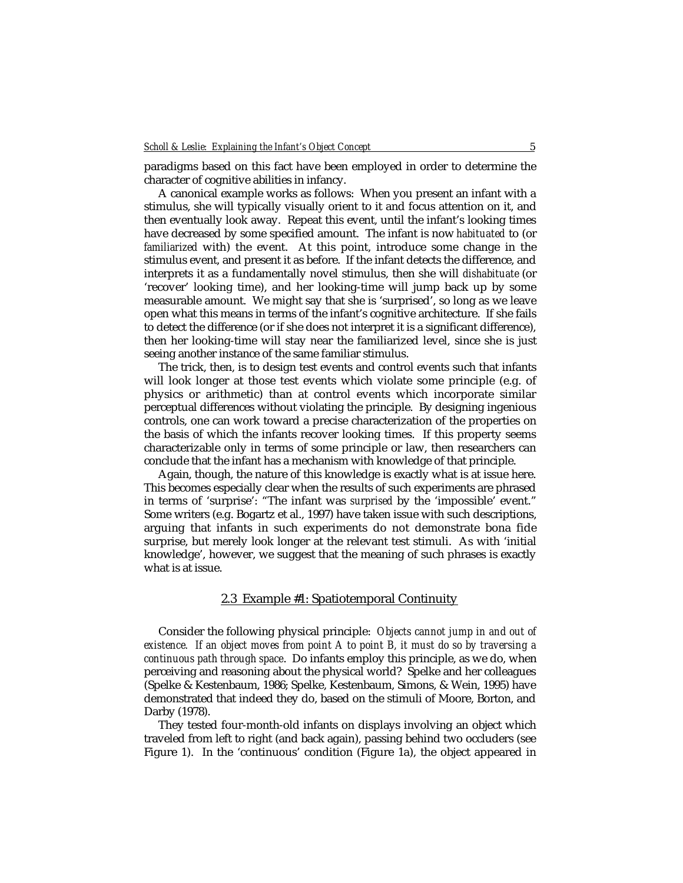paradigms based on this fact have been employed in order to determine the character of cognitive abilities in infancy.

A canonical example works as follows: When you present an infant with a stimulus, she will typically visually orient to it and focus attention on it, and then eventually look away. Repeat this event, until the infant's looking times have decreased by some specified amount. The infant is now *habituated* to (or *familiarized* with) the event. At this point, introduce some change in the stimulus event, and present it as before. If the infant detects the difference, and interprets it as a fundamentally novel stimulus, then she will *dishabituate* (or 'recover' looking time), and her looking-time will jump back up by some measurable amount. We might say that she is 'surprised', so long as we leave open what this means in terms of the infant's cognitive architecture. If she fails to detect the difference (or if she does not interpret it is a significant difference), then her looking-time will stay near the familiarized level, since she is just seeing another instance of the same familiar stimulus.

The trick, then, is to design test events and control events such that infants will look longer at those test events which violate some principle (e.g. of physics or arithmetic) than at control events which incorporate similar perceptual differences without violating the principle. By designing ingenious controls, one can work toward a precise characterization of the properties on the basis of which the infants recover looking times. If this property seems characterizable only in terms of some principle or law, then researchers can conclude that the infant has a mechanism with knowledge of that principle.

Again, though, the nature of this knowledge is exactly what is at issue here. This becomes especially clear when the results of such experiments are phrased in terms of 'surprise': "The infant was *surprised* by the 'impossible' event." Some writers (e.g. Bogartz et al., 1997) have taken issue with such descriptions, arguing that infants in such experiments do not demonstrate bona fide surprise, but merely look longer at the relevant test stimuli. As with 'initial knowledge', however, we suggest that the meaning of such phrases is exactly what is at issue.

### 2.3 Example #1: Spatiotemporal Continuity

Consider the following physical principle: *Objects cannot jump in and out of existence. If an object moves from point A to point B, it must do so by traversing a continuous path through space*. Do infants employ this principle, as we do, when perceiving and reasoning about the physical world? Spelke and her colleagues (Spelke & Kestenbaum, 1986; Spelke, Kestenbaum, Simons, & Wein, 1995) have demonstrated that indeed they do, based on the stimuli of Moore, Borton, and Darby (1978).

They tested four-month-old infants on displays involving an object which traveled from left to right (and back again), passing behind two occluders (see Figure 1). In the 'continuous' condition (Figure 1a), the object appeared in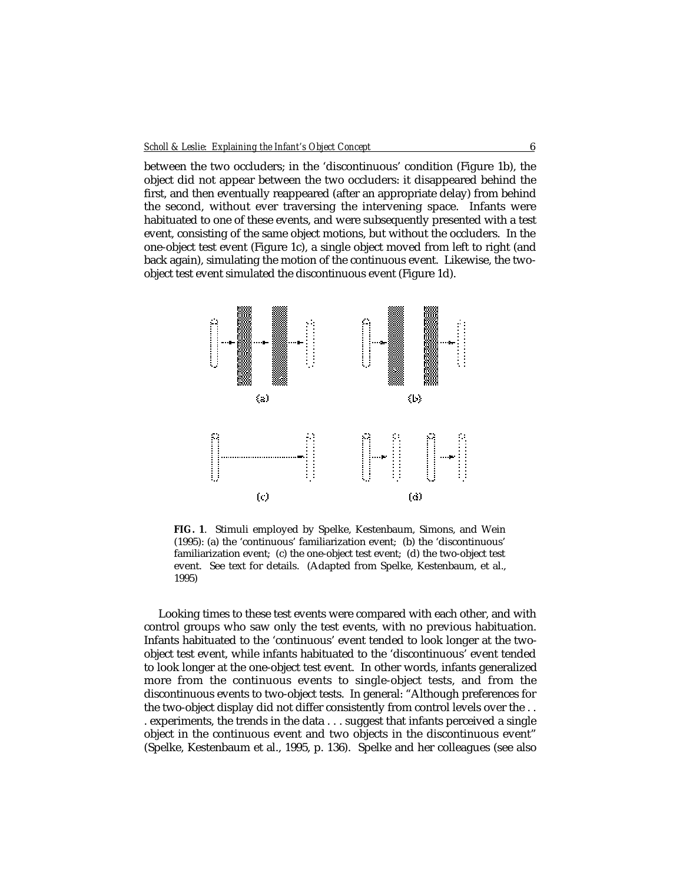between the two occluders; in the 'discontinuous' condition (Figure 1b), the object did not appear between the two occluders: it disappeared behind the first, and then eventually reappeared (after an appropriate delay) from behind the second, without ever traversing the intervening space. Infants were habituated to one of these events, and were subsequently presented with a test event, consisting of the same object motions, but without the occluders. In the one-object test event (Figure 1c), a single object moved from left to right (and back again), simulating the motion of the continuous event. Likewise, the twoobject test event simulated the discontinuous event (Figure 1d).



**FIG. 1**. Stimuli employed by Spelke, Kestenbaum, Simons, and Wein (1995): (a) the 'continuous' familiarization event; (b) the 'discontinuous' familiarization event; (c) the one-object test event; (d) the two-object test event. See text for details. (Adapted from Spelke, Kestenbaum, et al., 1995)

Looking times to these test events were compared with each other, and with control groups who saw only the test events, with no previous habituation. Infants habituated to the 'continuous' event tended to look longer at the twoobject test event, while infants habituated to the 'discontinuous' event tended to look longer at the one-object test event. In other words, infants generalized more from the continuous events to single-object tests, and from the discontinuous events to two-object tests. In general: "Although preferences for the two-object display did not differ consistently from control levels over the . . . experiments, the trends in the data . . . suggest that infants perceived a single object in the continuous event and two objects in the discontinuous event" (Spelke, Kestenbaum et al., 1995, p. 136). Spelke and her colleagues (see also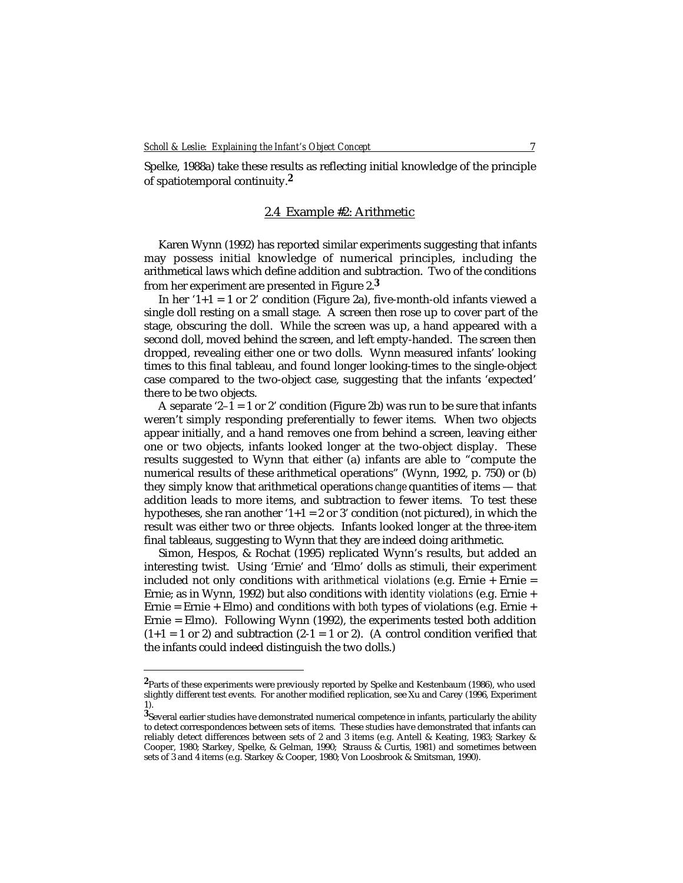Spelke, 1988a) take these results as reflecting initial knowledge of the principle of spatiotemporal continuity.**2**

#### 2.4 Example #2: Arithmetic

Karen Wynn (1992) has reported similar experiments suggesting that infants may possess initial knowledge of numerical principles, including the arithmetical laws which define addition and subtraction. Two of the conditions from her experiment are presented in Figure 2.**3**

In her '1+1 = 1 or 2' condition (Figure 2a), five-month-old infants viewed a single doll resting on a small stage. A screen then rose up to cover part of the stage, obscuring the doll. While the screen was up, a hand appeared with a second doll, moved behind the screen, and left empty-handed. The screen then dropped, revealing either one or two dolls. Wynn measured infants' looking times to this final tableau, and found longer looking-times to the single-object case compared to the two-object case, suggesting that the infants 'expected' there to be two objects.

A separate  $2-1 = 1$  or 2' condition (Figure 2b) was run to be sure that infants weren't simply responding preferentially to fewer items. When two objects appear initially, and a hand removes one from behind a screen, leaving either one or two objects, infants looked longer at the two-object display. These results suggested to Wynn that either (a) infants are able to "compute the numerical results of these arithmetical operations" (Wynn, 1992, p. 750) or (b) they simply know that arithmetical operations *change* quantities of items — that addition leads to more items, and subtraction to fewer items. To test these hypotheses, she ran another '1+1 = 2 or 3' condition (not pictured), in which the result was either two or three objects. Infants looked longer at the three-item final tableaus, suggesting to Wynn that they are indeed doing arithmetic.

Simon, Hespos, & Rochat (1995) replicated Wynn's results, but added an interesting twist. Using 'Ernie' and 'Elmo' dolls as stimuli, their experiment included not only conditions with *arithmetical violations* (e.g. Ernie + Ernie = Ernie; as in Wynn, 1992) but also conditions with *identity violations* (e.g. Ernie + Ernie = Ernie + Elmo) and conditions with *both* types of violations (e.g. Ernie + Ernie = Elmo). Following Wynn (1992), the experiments tested both addition  $(1+1 = 1 \text{ or } 2)$  and subtraction  $(2-1 = 1 \text{ or } 2)$ . (A control condition verified that the infants could indeed distinguish the two dolls.)

**<sup>2</sup>**Parts of these experiments were previously reported by Spelke and Kestenbaum (1986), who used slightly different test events. For another modified replication, see Xu and Carey (1996, Experiment 1).

**<sup>3</sup>**Several earlier studies have demonstrated numerical competence in infants, particularly the ability to detect correspondences between sets of items. These studies have demonstrated that infants can reliably detect differences between sets of 2 and 3 items (e.g. Antell & Keating, 1983; Starkey & Cooper, 1980; Starkey, Spelke, & Gelman, 1990; Strauss & Curtis, 1981) and sometimes between sets of 3 and 4 items (e.g. Starkey & Cooper, 1980; Von Loosbrook & Smitsman, 1990).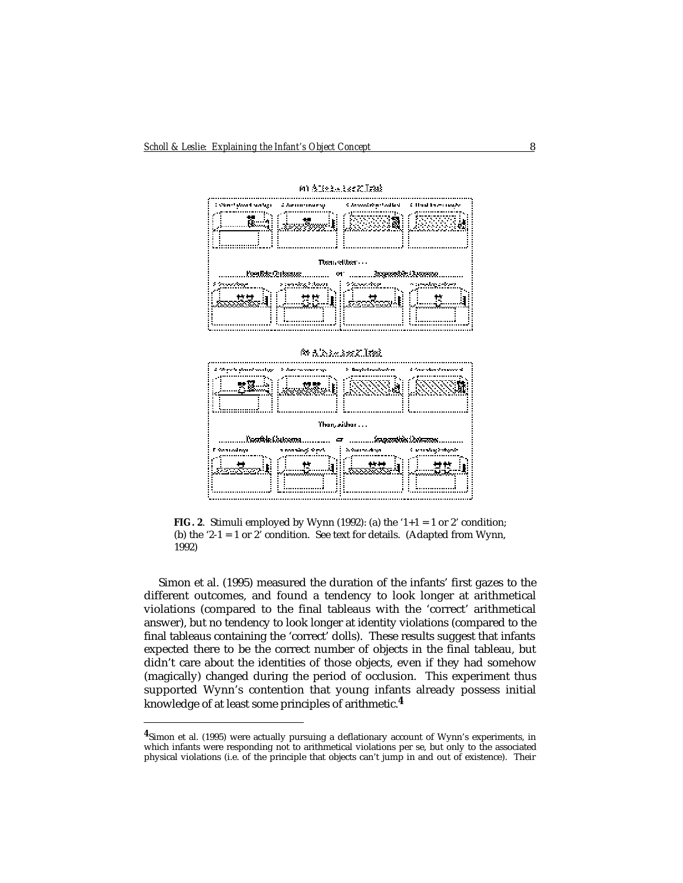

00 Alisander Kleik

| 4. Objecta glorial vocalista.                                         | 2. Anno de senso mage-<br><u> 1999. stolet</u> 18 | > Baybetrontooten | 6 Samulus Arswurd G  |
|-----------------------------------------------------------------------|---------------------------------------------------|-------------------|----------------------|
| Thon, sithor<br><u> Nastikle Coulogine,</u><br>(magambhin Szeinmann). |                                                   |                   |                      |
| <b>E-formational regular</b>                                          | a maalingi siyot                                  | Schwarzschieden   | S. Marakay Policycle |

@ Alaensmailme

**FIG. 2**. Stimuli employed by Wynn (1992): (a) the '1+1 = 1 or 2' condition; (b) the '2-1 = 1 or 2' condition. See text for details. (Adapted from Wynn, 1992)

Simon et al. (1995) measured the duration of the infants' first gazes to the different outcomes, and found a tendency to look longer at arithmetical violations (compared to the final tableaus with the 'correct' arithmetical answer), but no tendency to look longer at identity violations (compared to the final tableaus containing the 'correct' dolls). These results suggest that infants expected there to be the correct number of objects in the final tableau, but didn't care about the identities of those objects, even if they had somehow (magically) changed during the period of occlusion. This experiment thus supported Wynn's contention that young infants already possess initial knowledge of at least some principles of arithmetic.**4**

**<sup>4</sup>**Simon et al. (1995) were actually pursuing a deflationary account of Wynn's experiments, in which infants were responding not to arithmetical violations per se, but only to the associated physical violations (i.e. of the principle that objects can't jump in and out of existence). Their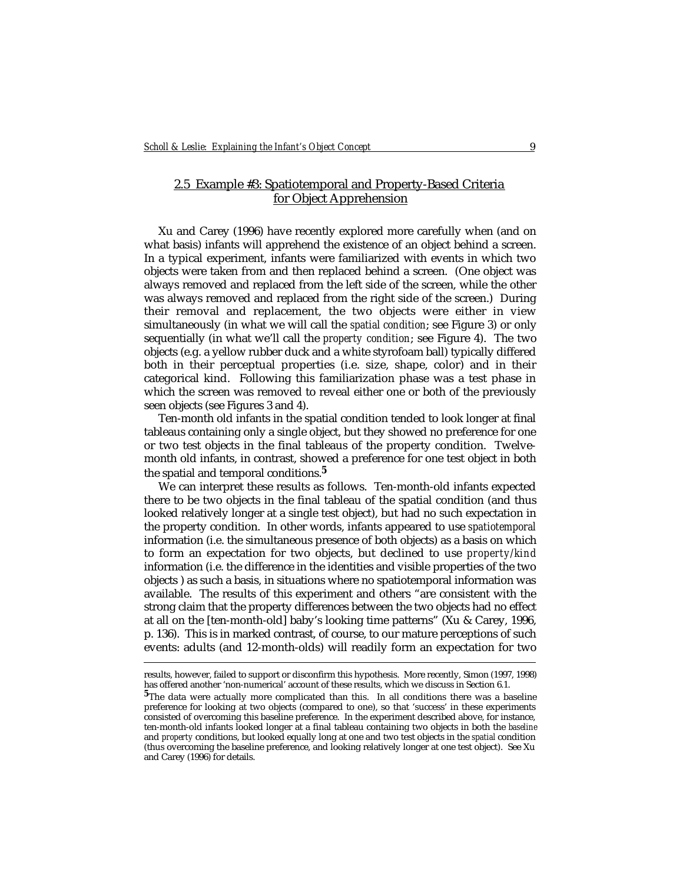# 2.5 Example #3: Spatiotemporal and Property-Based Criteria for Object Apprehension

Xu and Carey (1996) have recently explored more carefully when (and on what basis) infants will apprehend the existence of an object behind a screen. In a typical experiment, infants were familiarized with events in which two objects were taken from and then replaced behind a screen. (One object was always removed and replaced from the left side of the screen, while the other was always removed and replaced from the right side of the screen.) During their removal and replacement, the two objects were either in view simultaneously (in what we will call the *spatial condition*; see Figure 3) or only sequentially (in what we'll call the *property condition*; see Figure 4). The two objects (e.g. a yellow rubber duck and a white styrofoam ball) typically differed both in their perceptual properties (i.e. size, shape, color) and in their categorical kind. Following this familiarization phase was a test phase in which the screen was removed to reveal either one or both of the previously seen objects (see Figures 3 and 4).

Ten-month old infants in the spatial condition tended to look longer at final tableaus containing only a single object, but they showed no preference for one or two test objects in the final tableaus of the property condition. Twelvemonth old infants, in contrast, showed a preference for one test object in both the spatial and temporal conditions.**5**

We can interpret these results as follows. Ten-month-old infants expected there to be two objects in the final tableau of the spatial condition (and thus looked relatively longer at a single test object), but had no such expectation in the property condition. In other words, infants appeared to use *spatiotemporal* information (i.e. the simultaneous presence of both objects) as a basis on which to form an expectation for two objects, but declined to use *property/kind* information (i.e. the difference in the identities and visible properties of the two objects ) as such a basis, in situations where no spatiotemporal information was available. The results of this experiment and others "are consistent with the strong claim that the property differences between the two objects had no effect at all on the [ten-month-old] baby's looking time patterns" (Xu & Carey, 1996, p. 136). This is in marked contrast, of course, to our mature perceptions of such events: adults (and 12-month-olds) will readily form an expectation for two

results, however, failed to support or disconfirm this hypothesis. More recently, Simon (1997, 1998) has offered another 'non-numerical' account of these results, which we discuss in Section 6.1.

**<sup>5</sup>**The data were actually more complicated than this. In all conditions there was a baseline preference for looking at two objects (compared to one), so that 'success' in these experiments consisted of overcoming this baseline preference. In the experiment described above, for instance, ten-month-old infants looked longer at a final tableau containing two objects in both the *baseline* and *property* conditions, but looked equally long at one and two test objects in the *spatial* condition (thus overcoming the baseline preference, and looking relatively longer at one test object). See Xu and Carey (1996) for details.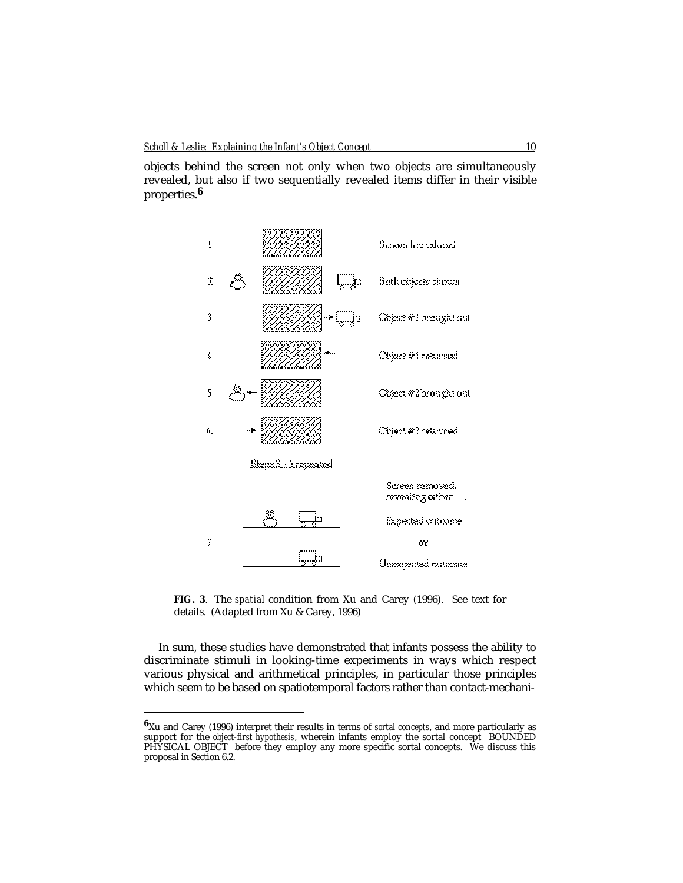objects behind the screen not only when two objects are simultaneously revealed, but also if two sequentially revealed items differ in their visible properties.**6**



**FIG. 3**. The *spatial* condition from Xu and Carey (1996). See text for details. (Adapted from Xu & Carey, 1996)

In sum, these studies have demonstrated that infants possess the ability to discriminate stimuli in looking-time experiments in ways which respect various physical and arithmetical principles, in particular those principles which seem to be based on spatiotemporal factors rather than contact-mechani-

**<sup>6</sup>**Xu and Carey (1996) interpret their results in terms of *sortal concepts*, and more particularly as support for the *object-first hypothesis*, wherein infants employ the sortal concept BOUNDED PHYSICAL OBJECT before they employ any more specific sortal concepts. We discuss this proposal in Section 6.2.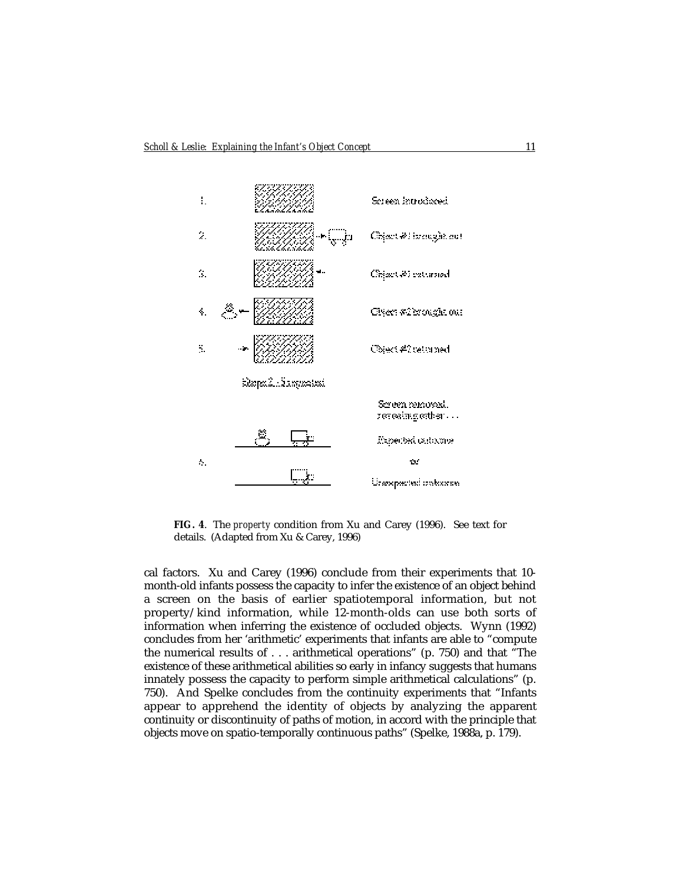

**FIG. 4**. The *property* condition from Xu and Carey (1996). See text for details. (Adapted from Xu & Carey, 1996)

cal factors. Xu and Carey (1996) conclude from their experiments that 10 month-old infants possess the capacity to infer the existence of an object behind a screen on the basis of earlier spatiotemporal information, but not property/kind information, while 12-month-olds can use both sorts of information when inferring the existence of occluded objects. Wynn (1992) concludes from her 'arithmetic' experiments that infants are able to "compute the numerical results of . . . arithmetical operations" (p. 750) and that "The existence of these arithmetical abilities so early in infancy suggests that humans innately possess the capacity to perform simple arithmetical calculations" (p. 750). And Spelke concludes from the continuity experiments that "Infants appear to apprehend the identity of objects by analyzing the apparent continuity or discontinuity of paths of motion, in accord with the principle that objects move on spatio-temporally continuous paths" (Spelke, 1988a, p. 179).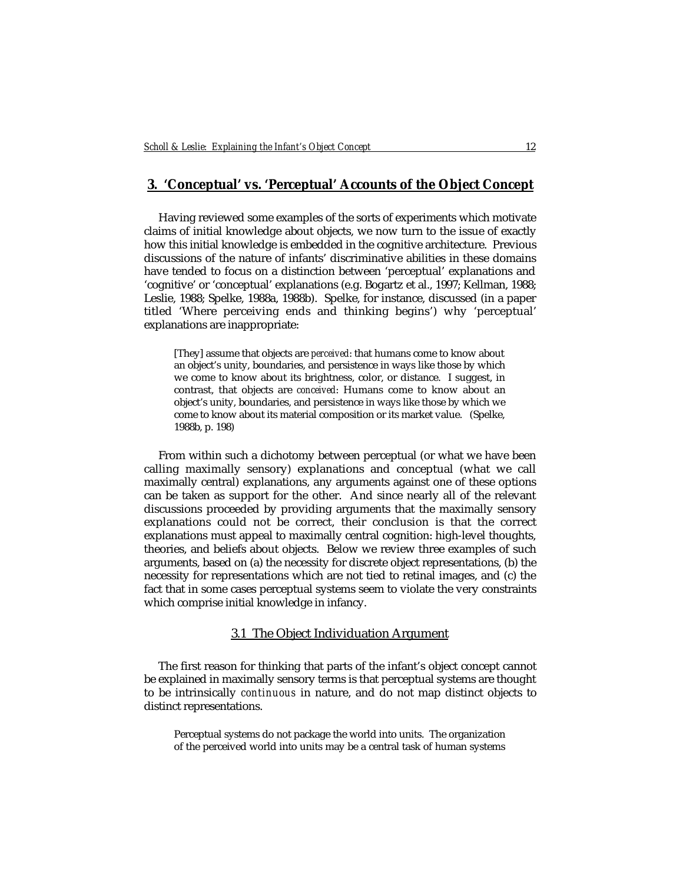# **3. 'Conceptual' vs. 'Perceptual' Accounts of the Object Concept**

Having reviewed some examples of the sorts of experiments which motivate claims of initial knowledge about objects, we now turn to the issue of exactly how this initial knowledge is embedded in the cognitive architecture. Previous discussions of the nature of infants' discriminative abilities in these domains have tended to focus on a distinction between 'perceptual' explanations and 'cognitive' or 'conceptual' explanations (e.g. Bogartz et al., 1997; Kellman, 1988; Leslie, 1988; Spelke, 1988a, 1988b). Spelke, for instance, discussed (in a paper titled 'Where perceiving ends and thinking begins') why 'perceptual' explanations are inappropriate:

[They] assume that objects are *perceived*: that humans come to know about an object's unity, boundaries, and persistence in ways like those by which we come to know about its brightness, color, or distance. I suggest, in contrast, that objects are *conceived*: Humans come to know about an object's unity, boundaries, and persistence in ways like those by which we come to know about its material composition or its market value. (Spelke, 1988b, p. 198)

From within such a dichotomy between perceptual (or what we have been calling maximally sensory) explanations and conceptual (what we call maximally central) explanations, any arguments against one of these options can be taken as support for the other. And since nearly all of the relevant discussions proceeded by providing arguments that the maximally sensory explanations could not be correct, their conclusion is that the correct explanations must appeal to maximally central cognition: high-level thoughts, theories, and beliefs about objects. Below we review three examples of such arguments, based on (a) the necessity for discrete object representations, (b) the necessity for representations which are not tied to retinal images, and (c) the fact that in some cases perceptual systems seem to violate the very constraints which comprise initial knowledge in infancy.

### 3.1 The Object Individuation Argument

The first reason for thinking that parts of the infant's object concept cannot be explained in maximally sensory terms is that perceptual systems are thought to be intrinsically *continuous* in nature, and do not map distinct objects to distinct representations.

Perceptual systems do not package the world into units. The organization of the perceived world into units may be a central task of human systems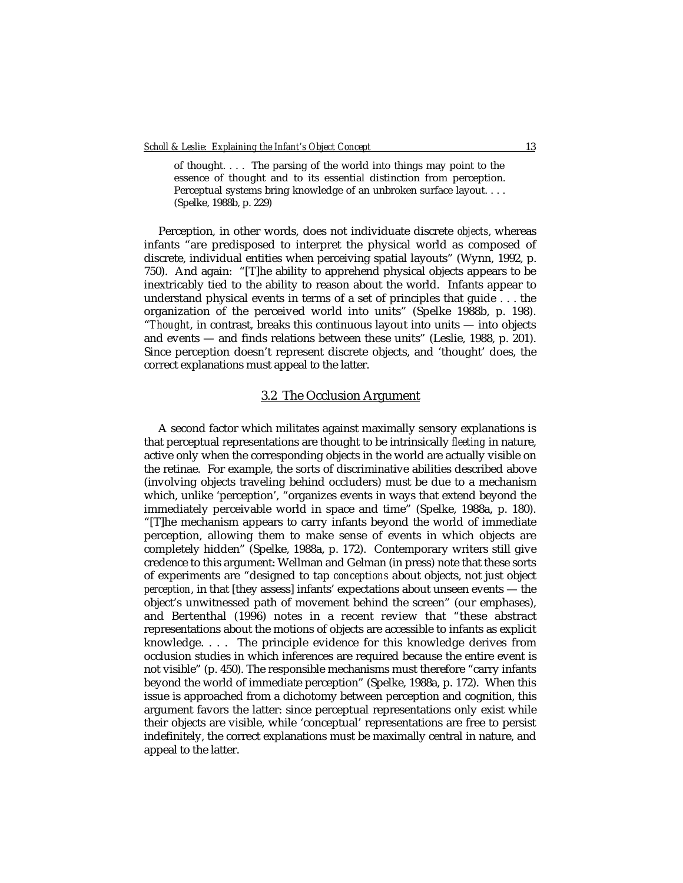of thought. . . . The parsing of the world into things may point to the essence of thought and to its essential distinction from perception. Perceptual systems bring knowledge of an unbroken surface layout. . . . (Spelke, 1988b, p. 229)

Perception, in other words, does not individuate discrete *objects*, whereas infants "are predisposed to interpret the physical world as composed of discrete, individual entities when perceiving spatial layouts" (Wynn, 1992, p. 750). And again: "[T]he ability to apprehend physical objects appears to be inextricably tied to the ability to reason about the world. Infants appear to understand physical events in terms of a set of principles that guide . . . the organization of the perceived world into units" (Spelke 1988b, p. 198). "*Thought*, in contrast, breaks this continuous layout into units — into objects and events — and finds relations between these units" (Leslie, 1988, p. 201). Since perception doesn't represent discrete objects, and 'thought' does, the correct explanations must appeal to the latter.

#### 3.2 The Occlusion Argument

A second factor which militates against maximally sensory explanations is that perceptual representations are thought to be intrinsically *fleeting* in nature, active only when the corresponding objects in the world are actually visible on the retinae. For example, the sorts of discriminative abilities described above (involving objects traveling behind occluders) must be due to a mechanism which, unlike 'perception', "organizes events in ways that extend beyond the immediately perceivable world in space and time" (Spelke, 1988a, p. 180). "[T]he mechanism appears to carry infants beyond the world of immediate perception, allowing them to make sense of events in which objects are completely hidden" (Spelke, 1988a, p. 172). Contemporary writers still give credence to this argument: Wellman and Gelman (in press) note that these sorts of experiments are "designed to tap *conceptions* about objects, not just object *perception*, in that [they assess] infants' expectations about unseen events — the object's unwitnessed path of movement behind the screen" (our emphases), and Bertenthal (1996) notes in a recent review that "these abstract representations about the motions of objects are accessible to infants as explicit knowledge. . . . The principle evidence for this knowledge derives from occlusion studies in which inferences are required because the entire event is not visible" (p. 450). The responsible mechanisms must therefore "carry infants beyond the world of immediate perception" (Spelke, 1988a, p. 172). When this issue is approached from a dichotomy between perception and cognition, this argument favors the latter: since perceptual representations only exist while their objects are visible, while 'conceptual' representations are free to persist indefinitely, the correct explanations must be maximally central in nature, and appeal to the latter.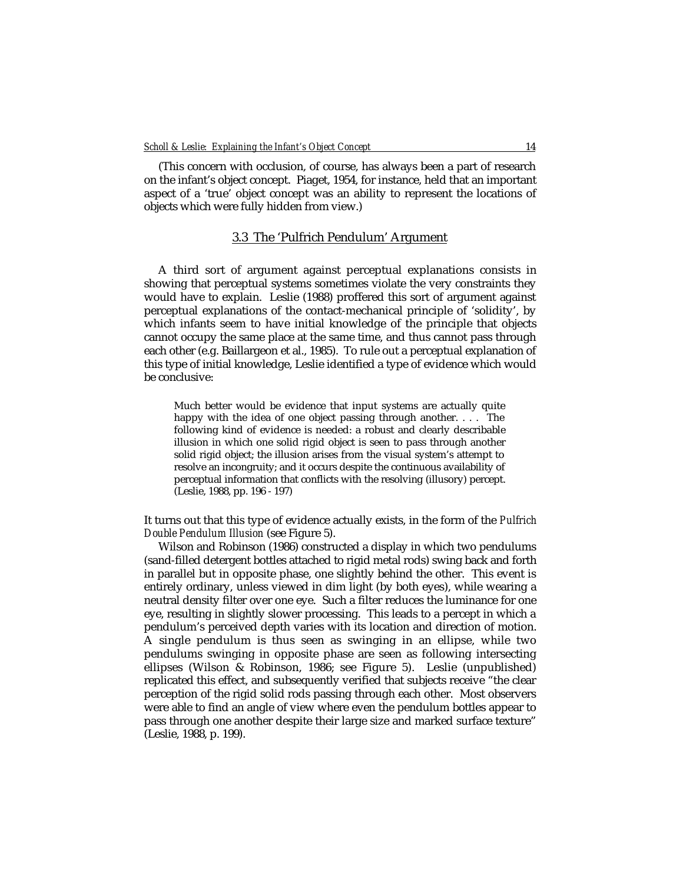(This concern with occlusion, of course, has always been a part of research on the infant's object concept. Piaget, 1954, for instance, held that an important aspect of a 'true' object concept was an ability to represent the locations of objects which were fully hidden from view.)

#### 3.3 The 'Pulfrich Pendulum' Argument

A third sort of argument against perceptual explanations consists in showing that perceptual systems sometimes violate the very constraints they would have to explain. Leslie (1988) proffered this sort of argument against perceptual explanations of the contact-mechanical principle of 'solidity', by which infants seem to have initial knowledge of the principle that objects cannot occupy the same place at the same time, and thus cannot pass through each other (e.g. Baillargeon et al., 1985). To rule out a perceptual explanation of this type of initial knowledge, Leslie identified a type of evidence which would be conclusive:

Much better would be evidence that input systems are actually quite happy with the idea of one object passing through another. ... The following kind of evidence is needed: a robust and clearly describable illusion in which one solid rigid object is seen to pass through another solid rigid object; the illusion arises from the visual system's attempt to resolve an incongruity; and it occurs despite the continuous availability of perceptual information that conflicts with the resolving (illusory) percept. (Leslie, 1988, pp. 196 - 197)

It turns out that this type of evidence actually exists, in the form of the *Pulfrich Double Pendulum Illusion* (see Figure 5).

Wilson and Robinson (1986) constructed a display in which two pendulums (sand-filled detergent bottles attached to rigid metal rods) swing back and forth in parallel but in opposite phase, one slightly behind the other. This event is entirely ordinary, unless viewed in dim light (by both eyes), while wearing a neutral density filter over one eye. Such a filter reduces the luminance for one eye, resulting in slightly slower processing. This leads to a percept in which a pendulum's perceived depth varies with its location and direction of motion. A single pendulum is thus seen as swinging in an ellipse, while two pendulums swinging in opposite phase are seen as following intersecting ellipses (Wilson & Robinson, 1986; see Figure 5). Leslie (unpublished) replicated this effect, and subsequently verified that subjects receive "the clear perception of the rigid solid rods passing through each other. Most observers were able to find an angle of view where even the pendulum bottles appear to pass through one another despite their large size and marked surface texture" (Leslie, 1988, p. 199).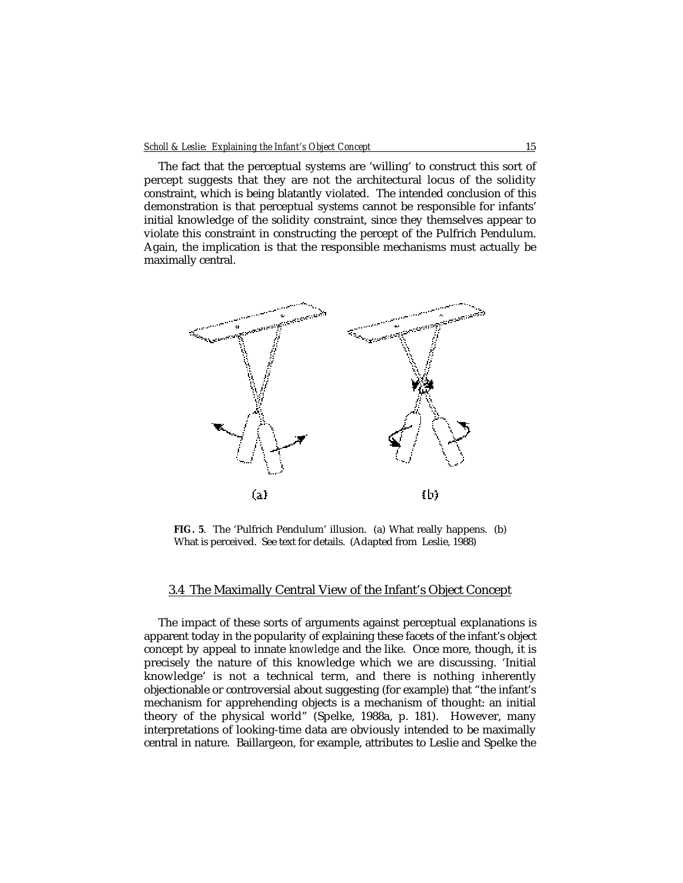The fact that the perceptual systems are 'willing' to construct this sort of percept suggests that they are not the architectural locus of the solidity constraint, which is being blatantly violated. The intended conclusion of this demonstration is that perceptual systems cannot be responsible for infants' initial knowledge of the solidity constraint, since they themselves appear to violate this constraint in constructing the percept of the Pulfrich Pendulum. Again, the implication is that the responsible mechanisms must actually be maximally central.



**FIG. 5**. The 'Pulfrich Pendulum' illusion. (a) What really happens. (b) What is perceived. See text for details. (Adapted from Leslie, 1988)

### 3.4 The Maximally Central View of the Infant's Object Concept

The impact of these sorts of arguments against perceptual explanations is apparent today in the popularity of explaining these facets of the infant's object concept by appeal to innate *knowledge* and the like. Once more, though, it is precisely the nature of this knowledge which we are discussing. 'Initial knowledge' is not a technical term, and there is nothing inherently objectionable or controversial about suggesting (for example) that "the infant's mechanism for apprehending objects is a mechanism of thought: an initial theory of the physical world" (Spelke, 1988a, p. 181). However, many interpretations of looking-time data are obviously intended to be maximally central in nature. Baillargeon, for example, attributes to Leslie and Spelke the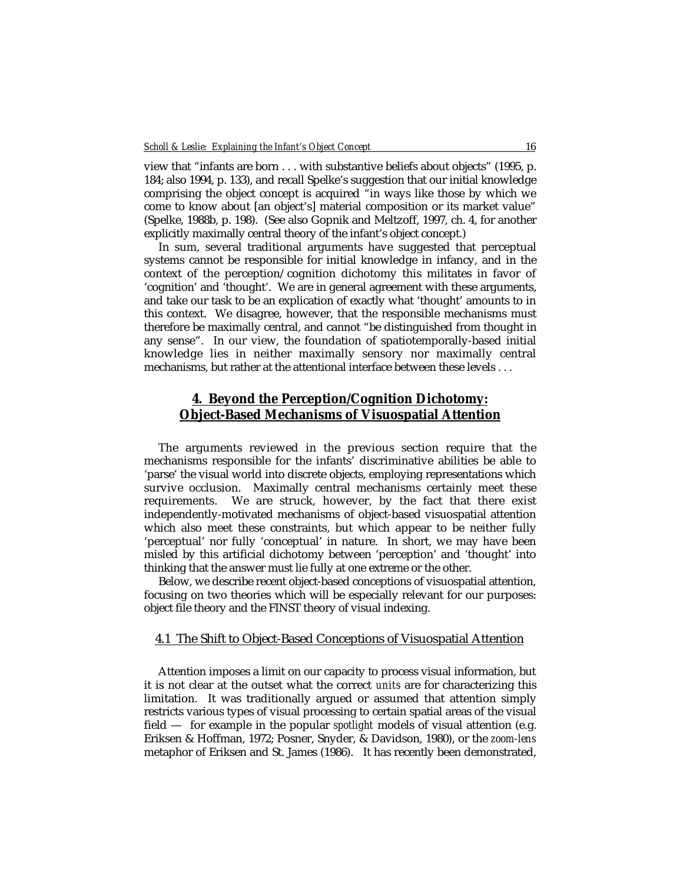view that "infants are born . . . with substantive beliefs about objects" (1995, p. 184; also 1994, p. 133), and recall Spelke's suggestion that our initial knowledge comprising the object concept is acquired "in ways like those by which we come to know about [an object's] material composition or its market value" (Spelke, 1988b, p. 198). (See also Gopnik and Meltzoff, 1997, ch. 4, for another explicitly maximally central theory of the infant's object concept.)

In sum, several traditional arguments have suggested that perceptual systems cannot be responsible for initial knowledge in infancy, and in the context of the perception/cognition dichotomy this militates in favor of 'cognition' and 'thought'. We are in general agreement with these arguments, and take our task to be an explication of exactly what 'thought' amounts to in this context. We disagree, however, that the responsible mechanisms must therefore be maximally central, and cannot "be distinguished from thought in any sense". In our view, the foundation of spatiotemporally-based initial knowledge lies in neither maximally sensory nor maximally central mechanisms, but rather at the attentional interface between these levels . . .

# **4. Beyond the Perception/Cognition Dichotomy: Object-Based Mechanisms of Visuospatial Attention**

The arguments reviewed in the previous section require that the mechanisms responsible for the infants' discriminative abilities be able to 'parse' the visual world into discrete objects, employing representations which survive occlusion. Maximally central mechanisms certainly meet these requirements. We are struck, however, by the fact that there exist independently-motivated mechanisms of object-based visuospatial attention which also meet these constraints, but which appear to be neither fully 'perceptual' nor fully 'conceptual' in nature. In short, we may have been misled by this artificial dichotomy between 'perception' and 'thought' into thinking that the answer must lie fully at one extreme or the other.

Below, we describe recent object-based conceptions of visuospatial attention, focusing on two theories which will be especially relevant for our purposes: object file theory and the FINST theory of visual indexing.

### 4.1 The Shift to Object-Based Conceptions of Visuospatial Attention

Attention imposes a limit on our capacity to process visual information, but it is not clear at the outset what the correct *units* are for characterizing this limitation. It was traditionally argued or assumed that attention simply restricts various types of visual processing to certain spatial areas of the visual field — for example in the popular *spotlight* models of visual attention (e.g. Eriksen & Hoffman, 1972; Posner, Snyder, & Davidson, 1980), or the *zoom-lens* metaphor of Eriksen and St. James (1986). It has recently been demonstrated,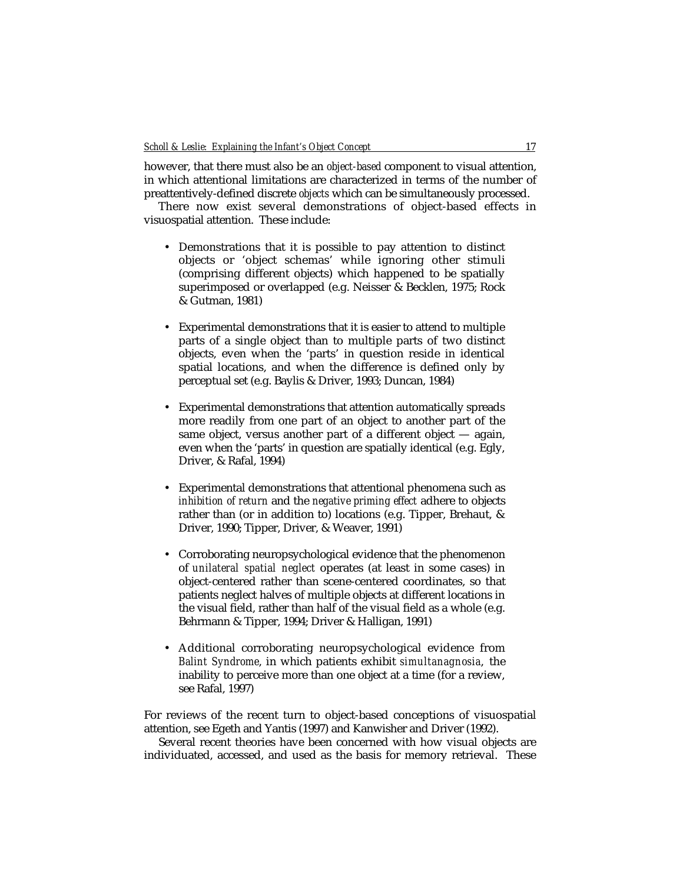however, that there must also be an *object-based* component to visual attention, in which attentional limitations are characterized in terms of the number of preattentively-defined discrete *objects* which can be simultaneously processed.

There now exist several demonstrations of object-based effects in visuospatial attention. These include:

- Demonstrations that it is possible to pay attention to distinct objects or 'object schemas' while ignoring other stimuli (comprising different objects) which happened to be spatially superimposed or overlapped (e.g. Neisser & Becklen, 1975; Rock & Gutman, 1981)
- Experimental demonstrations that it is easier to attend to multiple parts of a single object than to multiple parts of two distinct objects, even when the 'parts' in question reside in identical spatial locations, and when the difference is defined only by perceptual set (e.g. Baylis & Driver, 1993; Duncan, 1984)
- Experimental demonstrations that attention automatically spreads more readily from one part of an object to another part of the same object, versus another part of a different object — again, even when the 'parts' in question are spatially identical (e.g. Egly, Driver, & Rafal, 1994)
- Experimental demonstrations that attentional phenomena such as *inhibition of return* and the *negative priming effect* adhere to objects rather than (or in addition to) locations (e.g. Tipper, Brehaut, & Driver, 1990; Tipper, Driver, & Weaver, 1991)
- Corroborating neuropsychological evidence that the phenomenon of *unilateral spatial neglect* operates (at least in some cases) in object-centered rather than scene-centered coordinates, so that patients neglect halves of multiple objects at different locations in the visual field, rather than half of the visual field as a whole (e.g. Behrmann & Tipper, 1994; Driver & Halligan, 1991)
- Additional corroborating neuropsychological evidence from *Balint Syndrome*, in which patients exhibit *simultanagnosia*, the inability to perceive more than one object at a time (for a review, see Rafal, 1997)

For reviews of the recent turn to object-based conceptions of visuospatial attention, see Egeth and Yantis (1997) and Kanwisher and Driver (1992).

Several recent theories have been concerned with how visual objects are individuated, accessed, and used as the basis for memory retrieval. These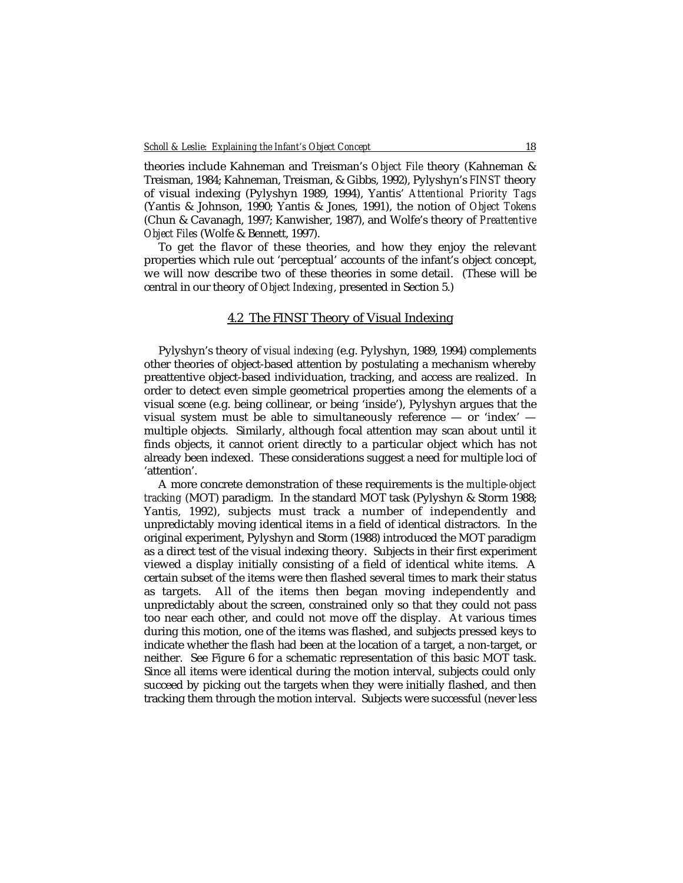theories include Kahneman and Treisman's *Object File* theory (Kahneman & Treisman, 1984; Kahneman, Treisman, & Gibbs, 1992), Pylyshyn's *FINST* theory of visual indexing (Pylyshyn 1989, 1994), Yantis' *Attentional Priority Tags* (Yantis & Johnson, 1990; Yantis & Jones, 1991), the notion of *Object Tokens* (Chun & Cavanagh, 1997; Kanwisher, 1987), and Wolfe's theory of *Preattentive Object Files* (Wolfe & Bennett, 1997).

To get the flavor of these theories, and how they enjoy the relevant properties which rule out 'perceptual' accounts of the infant's object concept, we will now describe two of these theories in some detail. (These will be central in our theory of *Object Indexing*, presented in Section 5.)

### 4.2 The FINST Theory of Visual Indexing

Pylyshyn's theory of *visual indexing* (e.g. Pylyshyn, 1989, 1994) complements other theories of object-based attention by postulating a mechanism whereby preattentive object-based individuation, tracking, and access are realized. In order to detect even simple geometrical properties among the elements of a visual scene (e.g. being collinear, or being 'inside'), Pylyshyn argues that the visual system must be able to simultaneously reference  $-$  or 'index'  $$ multiple objects. Similarly, although focal attention may scan about until it finds objects, it cannot orient directly to a particular object which has not already been indexed. These considerations suggest a need for multiple loci of 'attention'.

A more concrete demonstration of these requirements is the *multiple-object tracking* (MOT) paradigm. In the standard MOT task (Pylyshyn & Storm 1988; Yantis, 1992), subjects must track a number of independently and unpredictably moving identical items in a field of identical distractors. In the original experiment, Pylyshyn and Storm (1988) introduced the MOT paradigm as a direct test of the visual indexing theory. Subjects in their first experiment viewed a display initially consisting of a field of identical white items. A certain subset of the items were then flashed several times to mark their status as targets. All of the items then began moving independently and unpredictably about the screen, constrained only so that they could not pass too near each other, and could not move off the display. At various times during this motion, one of the items was flashed, and subjects pressed keys to indicate whether the flash had been at the location of a target, a non-target, or neither. See Figure 6 for a schematic representation of this basic MOT task. Since all items were identical during the motion interval, subjects could only succeed by picking out the targets when they were initially flashed, and then tracking them through the motion interval. Subjects were successful (never less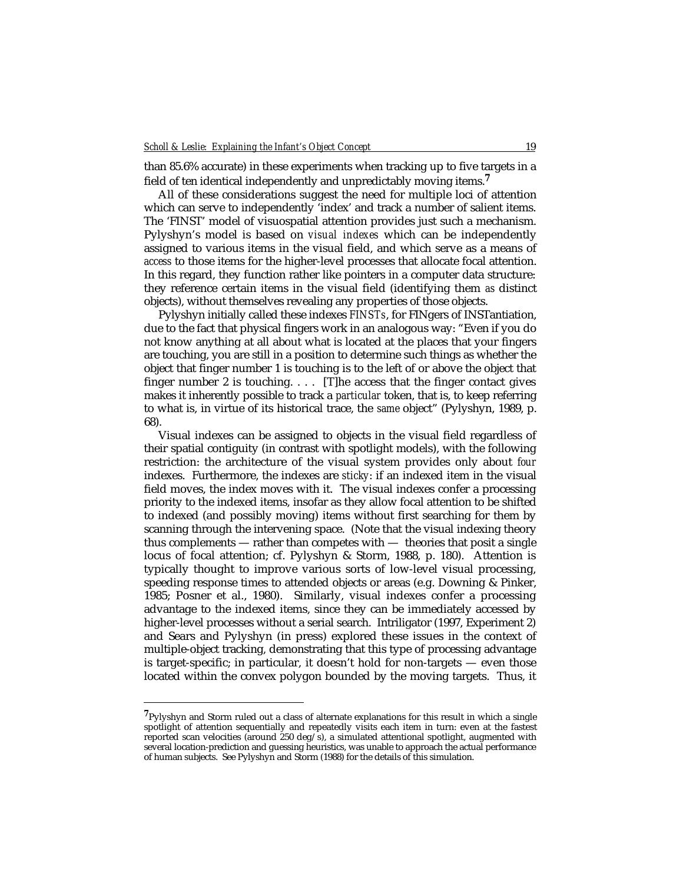than 85.6% accurate) in these experiments when tracking up to five targets in a field of ten identical independently and unpredictably moving items.**7**

All of these considerations suggest the need for multiple loci of attention which can serve to independently 'index' and track a number of salient items. The 'FINST' model of visuospatial attention provides just such a mechanism. Pylyshyn's model is based on *visual indexes* which can be independently assigned to various items in the visual field, and which serve as a means of *access* to those items for the higher-level processes that allocate focal attention. In this regard, they function rather like pointers in a computer data structure: they reference certain items in the visual field (identifying them *as* distinct objects), without themselves revealing any properties of those objects.

Pylyshyn initially called these indexes *FINSTs*, for FINgers of INSTantiation, due to the fact that physical fingers work in an analogous way: "Even if you do not know anything at all about what is located at the places that your fingers are touching, you are still in a position to determine such things as whether the object that finger number 1 is touching is to the left of or above the object that finger number 2 is touching.  $\ldots$  [T]he access that the finger contact gives makes it inherently possible to track a *particular* token, that is, to keep referring to what is, in virtue of its historical trace, the *same* object" (Pylyshyn, 1989, p. 68).

Visual indexes can be assigned to objects in the visual field regardless of their spatial contiguity (in contrast with spotlight models), with the following restriction: the architecture of the visual system provides only about *four* indexes. Furthermore, the indexes are *sticky*: if an indexed item in the visual field moves, the index moves with it. The visual indexes confer a processing priority to the indexed items, insofar as they allow focal attention to be shifted to indexed (and possibly moving) items without first searching for them by scanning through the intervening space. (Note that the visual indexing theory thus complements — rather than competes with — theories that posit a single locus of focal attention; cf. Pylyshyn & Storm, 1988, p. 180). Attention is typically thought to improve various sorts of low-level visual processing, speeding response times to attended objects or areas (e.g. Downing & Pinker, 1985; Posner et al., 1980). Similarly, visual indexes confer a processing advantage to the indexed items, since they can be immediately accessed by higher-level processes without a serial search. Intriligator (1997, Experiment 2) and Sears and Pylyshyn (in press) explored these issues in the context of multiple-object tracking, demonstrating that this type of processing advantage is target-specific; in particular, it doesn't hold for non-targets — even those located within the convex polygon bounded by the moving targets. Thus, it

**<sup>7</sup>**Pylyshyn and Storm ruled out a class of alternate explanations for this result in which a single spotlight of attention sequentially and repeatedly visits each item in turn: even at the fastest reported scan velocities (around 250 deg/s), a simulated attentional spotlight, augmented with several location-prediction and guessing heuristics, was unable to approach the actual performance of human subjects. See Pylyshyn and Storm (1988) for the details of this simulation.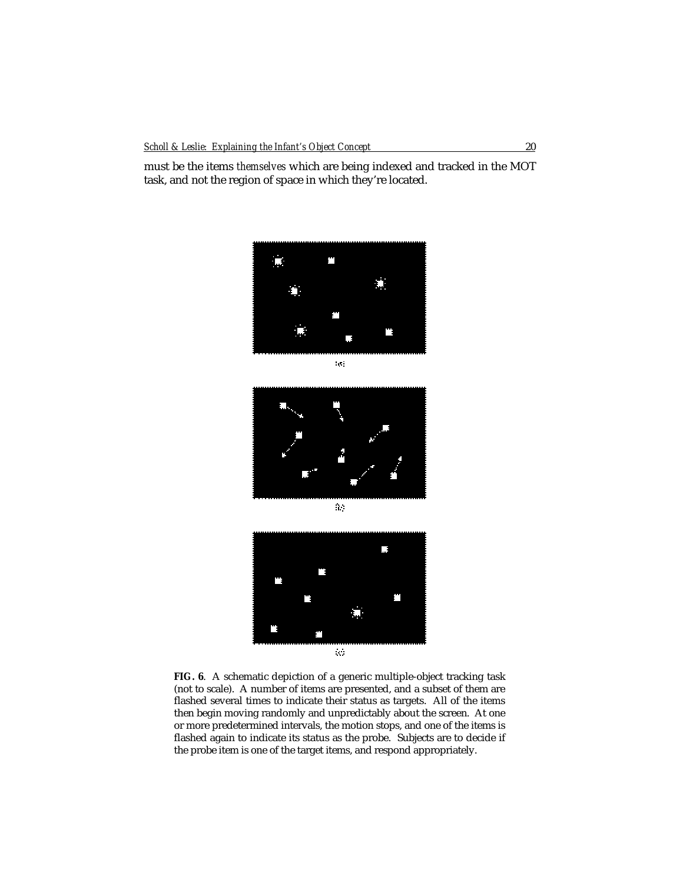must be the items *themselves* which are being indexed and tracked in the MOT task, and not the region of space in which they're located.



 $\langle \sigma \rangle$ 



 $\Omega_{\rm C}$ 



**FIG. 6**. A schematic depiction of a generic multiple-object tracking task (not to scale). A number of items are presented, and a subset of them are flashed several times to indicate their status as targets. All of the items then begin moving randomly and unpredictably about the screen. At one or more predetermined intervals, the motion stops, and one of the items is flashed again to indicate its status as the probe. Subjects are to decide if the probe item is one of the target items, and respond appropriately.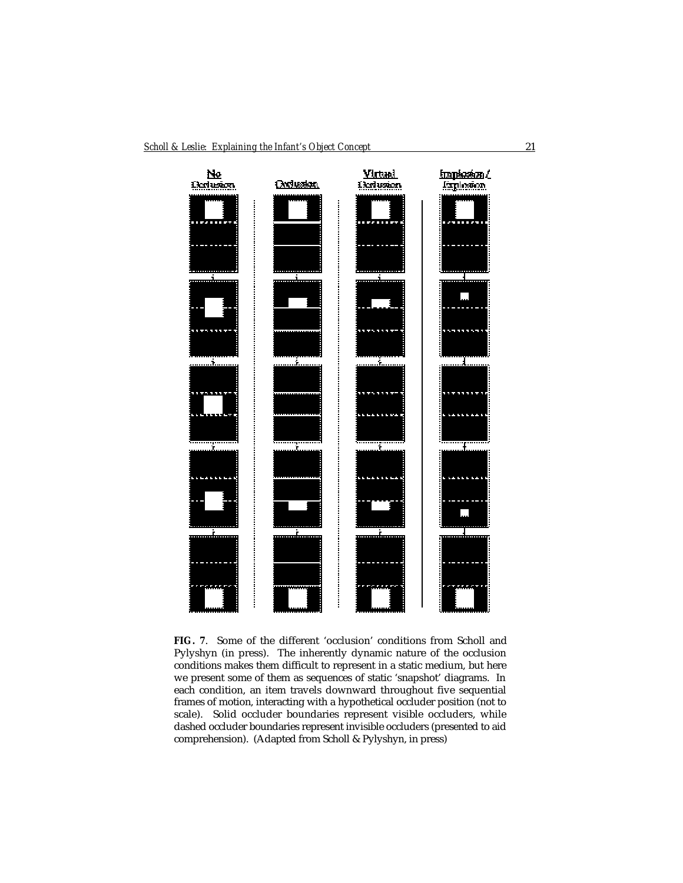

**FIG. 7**. Some of the different 'occlusion' conditions from Scholl and Pylyshyn (in press). The inherently dynamic nature of the occlusion conditions makes them difficult to represent in a static medium, but here we present some of them as sequences of static 'snapshot' diagrams. In each condition, an item travels downward throughout five sequential frames of motion, interacting with a hypothetical occluder position (not to scale). Solid occluder boundaries represent visible occluders, while dashed occluder boundaries represent invisible occluders (presented to aid comprehension). (Adapted from Scholl & Pylyshyn, in press)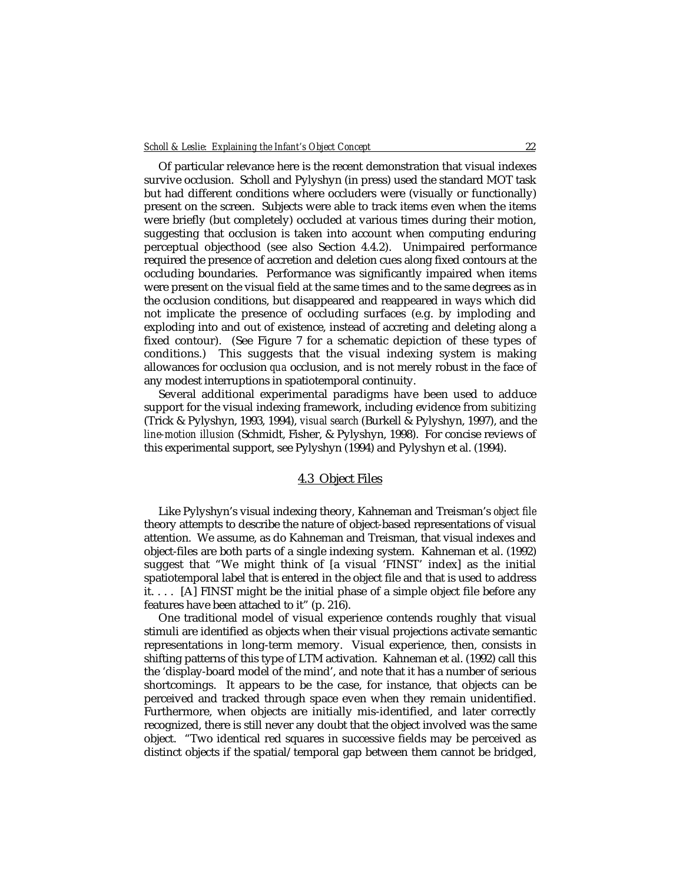Of particular relevance here is the recent demonstration that visual indexes survive occlusion. Scholl and Pylyshyn (in press) used the standard MOT task but had different conditions where occluders were (visually or functionally) present on the screen. Subjects were able to track items even when the items were briefly (but completely) occluded at various times during their motion, suggesting that occlusion is taken into account when computing enduring perceptual objecthood (see also Section 4.4.2). Unimpaired performance required the presence of accretion and deletion cues along fixed contours at the occluding boundaries. Performance was significantly impaired when items were present on the visual field at the same times and to the same degrees as in the occlusion conditions, but disappeared and reappeared in ways which did not implicate the presence of occluding surfaces (e.g. by imploding and exploding into and out of existence, instead of accreting and deleting along a fixed contour). (See Figure 7 for a schematic depiction of these types of conditions.) This suggests that the visual indexing system is making allowances for occlusion *qua* occlusion, and is not merely robust in the face of any modest interruptions in spatiotemporal continuity.

Several additional experimental paradigms have been used to adduce support for the visual indexing framework, including evidence from *subitizing* (Trick & Pylyshyn, 1993, 1994), *visual search* (Burkell & Pylyshyn, 1997), and the *line-motion illusion* (Schmidt, Fisher, & Pylyshyn, 1998). For concise reviews of this experimental support, see Pylyshyn (1994) and Pylyshyn et al. (1994).

# 4.3 Object Files

Like Pylyshyn's visual indexing theory, Kahneman and Treisman's *object file* theory attempts to describe the nature of object-based representations of visual attention. We assume, as do Kahneman and Treisman, that visual indexes and object-files are both parts of a single indexing system. Kahneman et al. (1992) suggest that "We might think of [a visual 'FINST' index] as the initial spatiotemporal label that is entered in the object file and that is used to address it. . . . [A] FINST might be the initial phase of a simple object file before any features have been attached to it" (p. 216).

One traditional model of visual experience contends roughly that visual stimuli are identified as objects when their visual projections activate semantic representations in long-term memory. Visual experience, then, consists in shifting patterns of this type of LTM activation. Kahneman et al. (1992) call this the 'display-board model of the mind', and note that it has a number of serious shortcomings. It appears to be the case, for instance, that objects can be perceived and tracked through space even when they remain unidentified. Furthermore, when objects are initially mis-identified, and later correctly recognized, there is still never any doubt that the object involved was the same object. "Two identical red squares in successive fields may be perceived as distinct objects if the spatial/temporal gap between them cannot be bridged,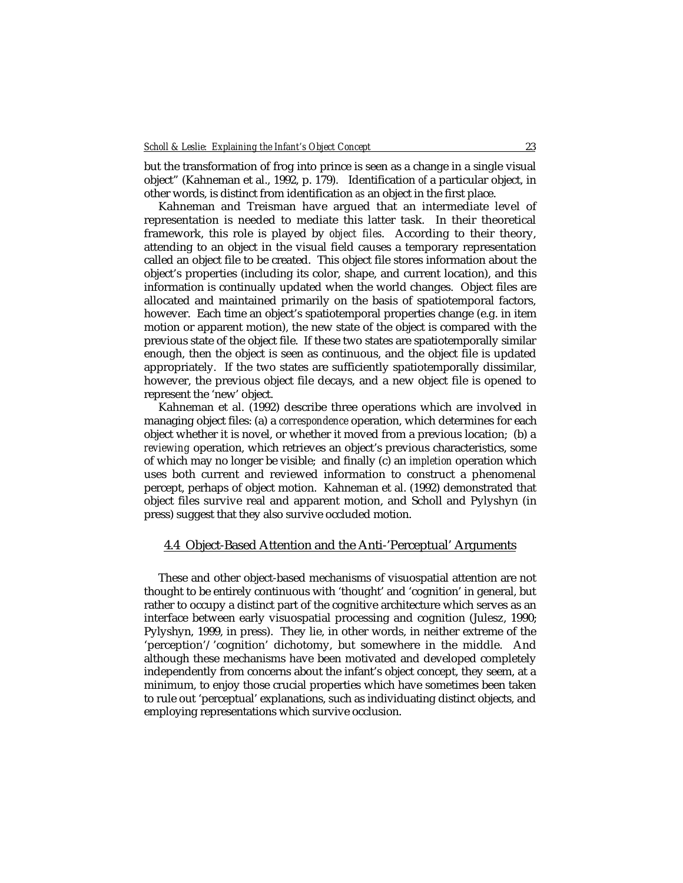but the transformation of frog into prince is seen as a change in a single visual object" (Kahneman et al., 1992, p. 179). Identification *of* a particular object, in other words, is distinct from identification *as* an object in the first place.

Kahneman and Treisman have argued that an intermediate level of representation is needed to mediate this latter task. In their theoretical framework, this role is played by *object files*. According to their theory, attending to an object in the visual field causes a temporary representation called an object file to be created. This object file stores information about the object's properties (including its color, shape, and current location), and this information is continually updated when the world changes. Object files are allocated and maintained primarily on the basis of spatiotemporal factors, however. Each time an object's spatiotemporal properties change (e.g. in item motion or apparent motion), the new state of the object is compared with the previous state of the object file. If these two states are spatiotemporally similar enough, then the object is seen as continuous, and the object file is updated appropriately. If the two states are sufficiently spatiotemporally dissimilar, however, the previous object file decays, and a new object file is opened to represent the 'new' object.

Kahneman et al. (1992) describe three operations which are involved in managing object files: (a) a *correspondence* operation, which determines for each object whether it is novel, or whether it moved from a previous location; (b) a *reviewing* operation, which retrieves an object's previous characteristics, some of which may no longer be visible; and finally (c) an *impletion* operation which uses both current and reviewed information to construct a phenomenal percept, perhaps of object motion. Kahneman et al. (1992) demonstrated that object files survive real and apparent motion, and Scholl and Pylyshyn (in press) suggest that they also survive occluded motion.

### 4.4 Object-Based Attention and the Anti-'Perceptual' Arguments

These and other object-based mechanisms of visuospatial attention are not thought to be entirely continuous with 'thought' and 'cognition' in general, but rather to occupy a distinct part of the cognitive architecture which serves as an interface between early visuospatial processing and cognition (Julesz, 1990; Pylyshyn, 1999, in press). They lie, in other words, in neither extreme of the 'perception'/'cognition' dichotomy, but somewhere in the middle. And although these mechanisms have been motivated and developed completely independently from concerns about the infant's object concept, they seem, at a minimum, to enjoy those crucial properties which have sometimes been taken to rule out 'perceptual' explanations, such as individuating distinct objects, and employing representations which survive occlusion.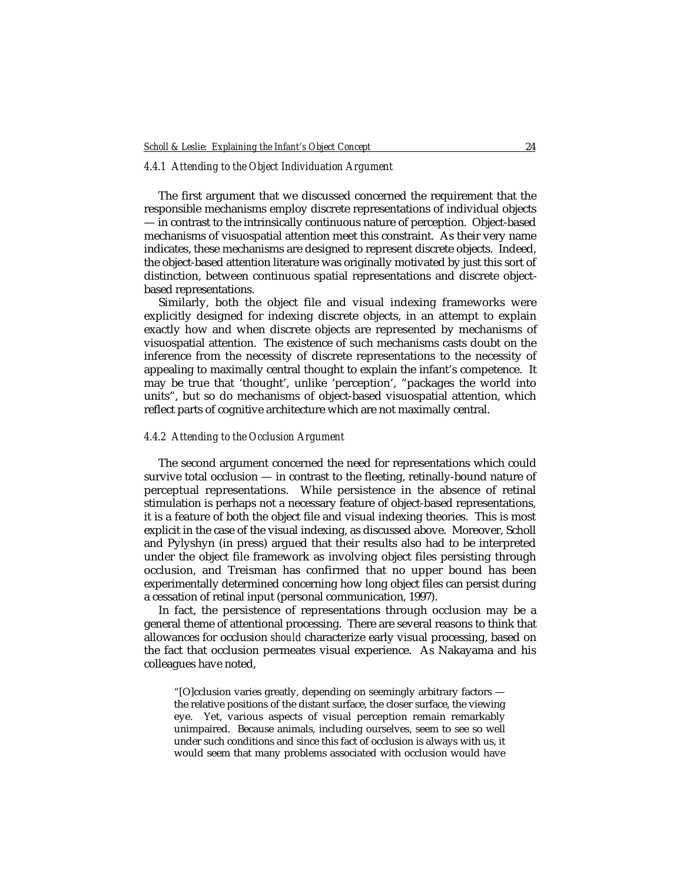#### *4.4.1 Attending to the Object Individuation Argument*

The first argument that we discussed concerned the requirement that the responsible mechanisms employ discrete representations of individual objects — in contrast to the intrinsically continuous nature of perception. Object-based mechanisms of visuospatial attention meet this constraint. As their very name indicates, these mechanisms are designed to represent discrete objects. Indeed, the object-based attention literature was originally motivated by just this sort of distinction, between continuous spatial representations and discrete objectbased representations.

Similarly, both the object file and visual indexing frameworks were explicitly designed for indexing discrete objects, in an attempt to explain exactly how and when discrete objects are represented by mechanisms of visuospatial attention. The existence of such mechanisms casts doubt on the inference from the necessity of discrete representations to the necessity of appealing to maximally central thought to explain the infant's competence. It may be true that 'thought', unlike 'perception', "packages the world into units", but so do mechanisms of object-based visuospatial attention, which reflect parts of cognitive architecture which are not maximally central.

### *4.4.2 Attending to the Occlusion Argument*

The second argument concerned the need for representations which could survive total occlusion — in contrast to the fleeting, retinally-bound nature of perceptual representations. While persistence in the absence of retinal stimulation is perhaps not a necessary feature of object-based representations, it is a feature of both the object file and visual indexing theories. This is most explicit in the case of the visual indexing, as discussed above. Moreover, Scholl and Pylyshyn (in press) argued that their results also had to be interpreted under the object file framework as involving object files persisting through occlusion, and Treisman has confirmed that no upper bound has been experimentally determined concerning how long object files can persist during a cessation of retinal input (personal communication, 1997).

In fact, the persistence of representations through occlusion may be a general theme of attentional processing. There are several reasons to think that allowances for occlusion *should* characterize early visual processing, based on the fact that occlusion permeates visual experience. As Nakayama and his colleagues have noted,

"[O]cclusion varies greatly, depending on seemingly arbitrary factors the relative positions of the distant surface, the closer surface, the viewing eye. Yet, various aspects of visual perception remain remarkably unimpaired. Because animals, including ourselves, seem to see so well under such conditions and since this fact of occlusion is always with us, it would seem that many problems associated with occlusion would have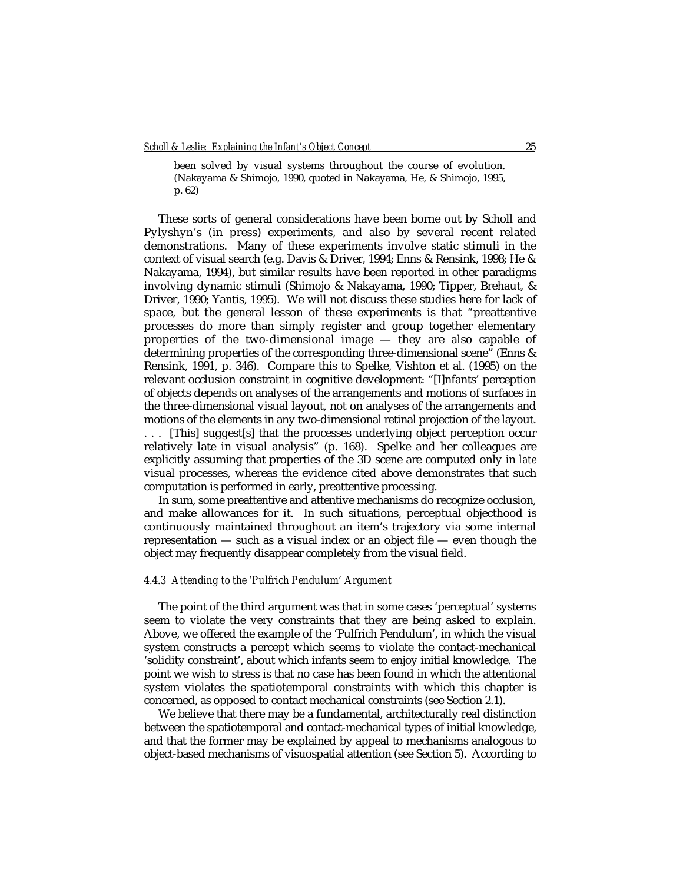been solved by visual systems throughout the course of evolution. (Nakayama & Shimojo, 1990, quoted in Nakayama, He, & Shimojo, 1995, p. 62)

These sorts of general considerations have been borne out by Scholl and Pylyshyn's (in press) experiments, and also by several recent related demonstrations. Many of these experiments involve static stimuli in the context of visual search (e.g. Davis & Driver, 1994; Enns & Rensink, 1998; He & Nakayama, 1994), but similar results have been reported in other paradigms involving dynamic stimuli (Shimojo & Nakayama, 1990; Tipper, Brehaut, & Driver, 1990; Yantis, 1995). We will not discuss these studies here for lack of space, but the general lesson of these experiments is that "preattentive processes do more than simply register and group together elementary properties of the two-dimensional image — they are also capable of determining properties of the corresponding three-dimensional scene" (Enns & Rensink, 1991, p. 346). Compare this to Spelke, Vishton et al. (1995) on the relevant occlusion constraint in cognitive development: "[I]nfants' perception of objects depends on analyses of the arrangements and motions of surfaces in the three-dimensional visual layout, not on analyses of the arrangements and motions of the elements in any two-dimensional retinal projection of the layout. . . . [This] suggest[s] that the processes underlying object perception occur relatively late in visual analysis" (p. 168). Spelke and her colleagues are explicitly assuming that properties of the 3D scene are computed only in *late* visual processes, whereas the evidence cited above demonstrates that such computation is performed in early, preattentive processing.

In sum, some preattentive and attentive mechanisms do recognize occlusion, and make allowances for it. In such situations, perceptual objecthood is continuously maintained throughout an item's trajectory via some internal representation — such as a visual index or an object file — even though the object may frequently disappear completely from the visual field.

#### *4.4.3 Attending to the 'Pulfrich Pendulum' Argument*

The point of the third argument was that in some cases 'perceptual' systems seem to violate the very constraints that they are being asked to explain. Above, we offered the example of the 'Pulfrich Pendulum', in which the visual system constructs a percept which seems to violate the contact-mechanical 'solidity constraint', about which infants seem to enjoy initial knowledge. The point we wish to stress is that no case has been found in which the attentional system violates the spatiotemporal constraints with which this chapter is concerned, as opposed to contact mechanical constraints (see Section 2.1).

We believe that there may be a fundamental, architecturally real distinction between the spatiotemporal and contact-mechanical types of initial knowledge, and that the former may be explained by appeal to mechanisms analogous to object-based mechanisms of visuospatial attention (see Section 5). According to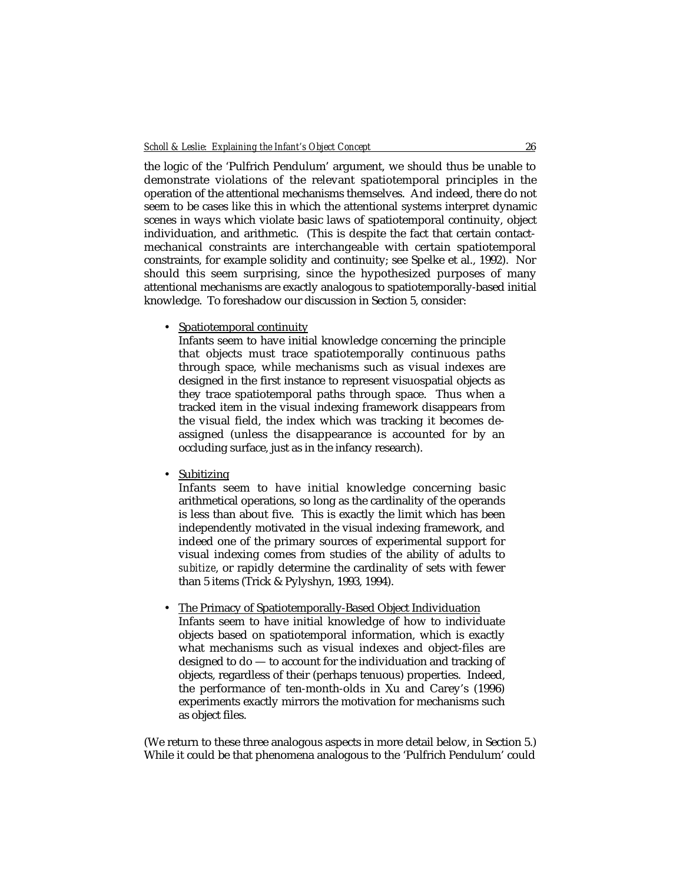the logic of the 'Pulfrich Pendulum' argument, we should thus be unable to demonstrate violations of the relevant spatiotemporal principles in the operation of the attentional mechanisms themselves. And indeed, there do not seem to be cases like this in which the attentional systems interpret dynamic scenes in ways which violate basic laws of spatiotemporal continuity, object individuation, and arithmetic. (This is despite the fact that certain contactmechanical constraints are interchangeable with certain spatiotemporal constraints, for example solidity and continuity; see Spelke et al., 1992). Nor should this seem surprising, since the hypothesized purposes of many attentional mechanisms are exactly analogous to spatiotemporally-based initial knowledge. To foreshadow our discussion in Section 5, consider:

• Spatiotemporal continuity

Infants seem to have initial knowledge concerning the principle that objects must trace spatiotemporally continuous paths through space, while mechanisms such as visual indexes are designed in the first instance to represent visuospatial objects as they trace spatiotemporal paths through space. Thus when a tracked item in the visual indexing framework disappears from the visual field, the index which was tracking it becomes deassigned (unless the disappearance is accounted for by an occluding surface, just as in the infancy research).

• Subitizing

Infants seem to have initial knowledge concerning basic arithmetical operations, so long as the cardinality of the operands is less than about five. This is exactly the limit which has been independently motivated in the visual indexing framework, and indeed one of the primary sources of experimental support for visual indexing comes from studies of the ability of adults to *subitize*, or rapidly determine the cardinality of sets with fewer than 5 items (Trick & Pylyshyn, 1993, 1994).

• The Primacy of Spatiotemporally-Based Object Individuation Infants seem to have initial knowledge of how to individuate objects based on spatiotemporal information, which is exactly what mechanisms such as visual indexes and object-files are designed to do — to account for the individuation and tracking of objects, regardless of their (perhaps tenuous) properties. Indeed, the performance of ten-month-olds in Xu and Carey's (1996) experiments exactly mirrors the motivation for mechanisms such as object files.

(We return to these three analogous aspects in more detail below, in Section 5.) While it could be that phenomena analogous to the 'Pulfrich Pendulum' could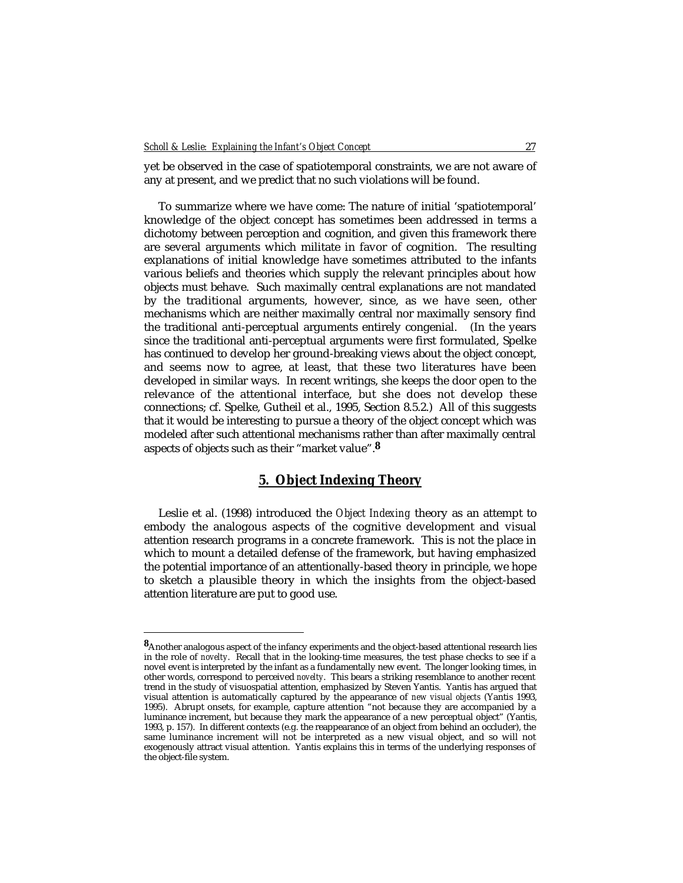yet be observed in the case of spatiotemporal constraints, we are not aware of any at present, and we predict that no such violations will be found.

To summarize where we have come: The nature of initial 'spatiotemporal' knowledge of the object concept has sometimes been addressed in terms a dichotomy between perception and cognition, and given this framework there are several arguments which militate in favor of cognition. The resulting explanations of initial knowledge have sometimes attributed to the infants various beliefs and theories which supply the relevant principles about how objects must behave. Such maximally central explanations are not mandated by the traditional arguments, however, since, as we have seen, other mechanisms which are neither maximally central nor maximally sensory find the traditional anti-perceptual arguments entirely congenial. (In the years since the traditional anti-perceptual arguments were first formulated, Spelke has continued to develop her ground-breaking views about the object concept, and seems now to agree, at least, that these two literatures have been developed in similar ways. In recent writings, she keeps the door open to the relevance of the attentional interface, but she does not develop these connections; cf. Spelke, Gutheil et al., 1995, Section 8.5.2.) All of this suggests that it would be interesting to pursue a theory of the object concept which was modeled after such attentional mechanisms rather than after maximally central aspects of objects such as their "market value".**8**

# **5. Object Indexing Theory**

Leslie et al. (1998) introduced the *Object Indexing* theory as an attempt to embody the analogous aspects of the cognitive development and visual attention research programs in a concrete framework. This is not the place in which to mount a detailed defense of the framework, but having emphasized the potential importance of an attentionally-based theory in principle, we hope to sketch a plausible theory in which the insights from the object-based attention literature are put to good use.

**<sup>8</sup>**Another analogous aspect of the infancy experiments and the object-based attentional research lies in the role of *novelty*. Recall that in the looking-time measures, the test phase checks to see if a novel event is interpreted by the infant as a fundamentally new event. The longer looking times, in other words, correspond to perceived *novelty*. This bears a striking resemblance to another recent trend in the study of visuospatial attention, emphasized by Steven Yantis. Yantis has argued that visual attention is automatically captured by the appearance of *new visual objects* (Yantis 1993, 1995). Abrupt onsets, for example, capture attention "not because they are accompanied by a luminance increment, but because they mark the appearance of a new perceptual object" (Yantis, 1993, p. 157). In different contexts (e.g. the reappearance of an object from behind an occluder), the same luminance increment will not be interpreted as a new visual object, and so will not exogenously attract visual attention. Yantis explains this in terms of the underlying responses of the object-file system.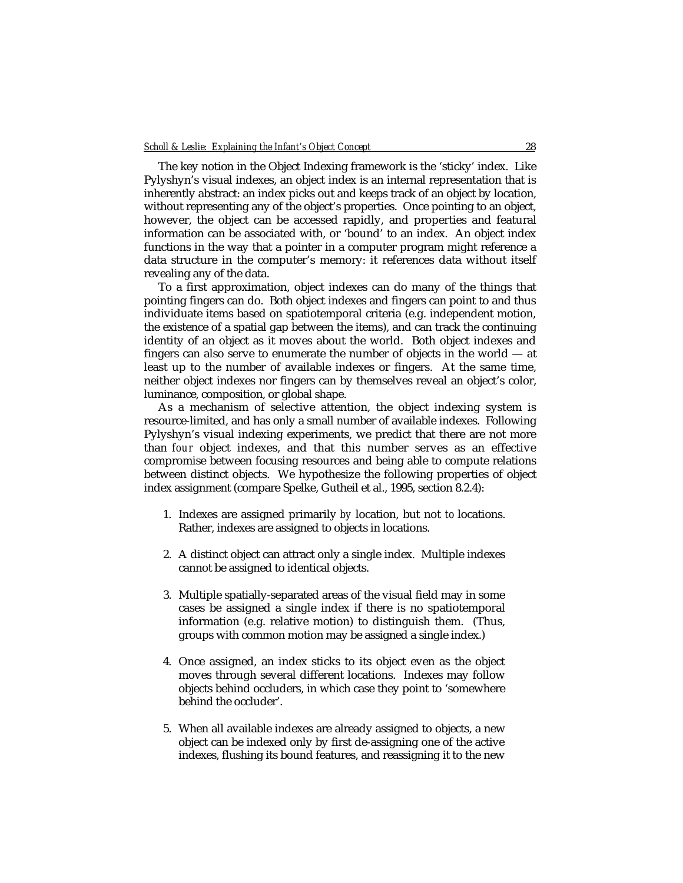The key notion in the Object Indexing framework is the 'sticky' index. Like Pylyshyn's visual indexes, an object index is an internal representation that is inherently abstract: an index picks out and keeps track of an object by location, without representing any of the object's properties. Once pointing to an object, however, the object can be accessed rapidly, and properties and featural information can be associated with, or 'bound' to an index. An object index functions in the way that a pointer in a computer program might reference a data structure in the computer's memory: it references data without itself revealing any of the data.

To a first approximation, object indexes can do many of the things that pointing fingers can do. Both object indexes and fingers can point to and thus individuate items based on spatiotemporal criteria (e.g. independent motion, the existence of a spatial gap between the items), and can track the continuing identity of an object as it moves about the world. Both object indexes and fingers can also serve to enumerate the number of objects in the world — at least up to the number of available indexes or fingers. At the same time, neither object indexes nor fingers can by themselves reveal an object's color, luminance, composition, or global shape.

As a mechanism of selective attention, the object indexing system is resource-limited, and has only a small number of available indexes. Following Pylyshyn's visual indexing experiments, we predict that there are not more than *four* object indexes, and that this number serves as an effective compromise between focusing resources and being able to compute relations between distinct objects. We hypothesize the following properties of object index assignment (compare Spelke, Gutheil et al., 1995, section 8.2.4):

- 1. Indexes are assigned primarily *by* location, but not *to* locations. Rather, indexes are assigned to objects in locations.
- 2. A distinct object can attract only a single index. Multiple indexes cannot be assigned to identical objects.
- 3. Multiple spatially-separated areas of the visual field may in some cases be assigned a single index if there is no spatiotemporal information (e.g. relative motion) to distinguish them. (Thus, groups with common motion may be assigned a single index.)
- 4. Once assigned, an index sticks to its object even as the object moves through several different locations. Indexes may follow objects behind occluders, in which case they point to 'somewhere behind the occluder'.
- 5. When all available indexes are already assigned to objects, a new object can be indexed only by first de-assigning one of the active indexes, flushing its bound features, and reassigning it to the new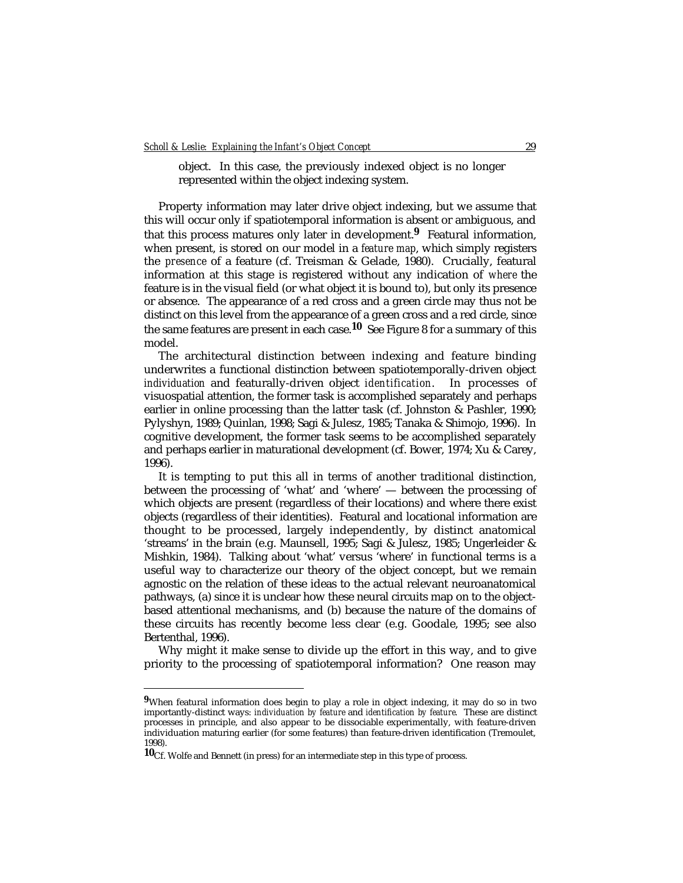object. In this case, the previously indexed object is no longer represented within the object indexing system.

Property information may later drive object indexing, but we assume that this will occur only if spatiotemporal information is absent or ambiguous, and that this process matures only later in development.**9** Featural information, when present, is stored on our model in a *feature map*, which simply registers the *presence* of a feature (cf. Treisman & Gelade, 1980). Crucially, featural information at this stage is registered without any indication of *where* the feature is in the visual field (or what object it is bound to), but only its presence or absence. The appearance of a red cross and a green circle may thus not be distinct on this level from the appearance of a green cross and a red circle, since the same features are present in each case.**10** See Figure 8 for a summary of this model.

The architectural distinction between indexing and feature binding underwrites a functional distinction between spatiotemporally-driven object *individuation* and featurally-driven object *identification*. In processes of visuospatial attention, the former task is accomplished separately and perhaps earlier in online processing than the latter task (cf. Johnston & Pashler, 1990; Pylyshyn, 1989; Quinlan, 1998; Sagi & Julesz, 1985; Tanaka & Shimojo, 1996). In cognitive development, the former task seems to be accomplished separately and perhaps earlier in maturational development (cf. Bower, 1974; Xu & Carey, 1996).

It is tempting to put this all in terms of another traditional distinction, between the processing of 'what' and 'where' — between the processing of which objects are present (regardless of their locations) and where there exist objects (regardless of their identities). Featural and locational information are thought to be processed, largely independently, by distinct anatomical 'streams' in the brain (e.g. Maunsell, 1995; Sagi & Julesz, 1985; Ungerleider & Mishkin, 1984). Talking about 'what' versus 'where' in functional terms is a useful way to characterize our theory of the object concept, but we remain agnostic on the relation of these ideas to the actual relevant neuroanatomical pathways, (a) since it is unclear how these neural circuits map on to the objectbased attentional mechanisms, and (b) because the nature of the domains of these circuits has recently become less clear (e.g. Goodale, 1995; see also Bertenthal, 1996).

Why might it make sense to divide up the effort in this way, and to give priority to the processing of spatiotemporal information? One reason may

**<sup>9</sup>**When featural information does begin to play a role in object indexing, it may do so in two importantly-distinct ways: *individuation by feature* and *identification by feature*. These are distinct processes in principle, and also appear to be dissociable experimentally, with feature-driven individuation maturing earlier (for some features) than feature-driven identification (Tremoulet, 1998).

**<sup>10</sup>**Cf. Wolfe and Bennett (in press) for an intermediate step in this type of process.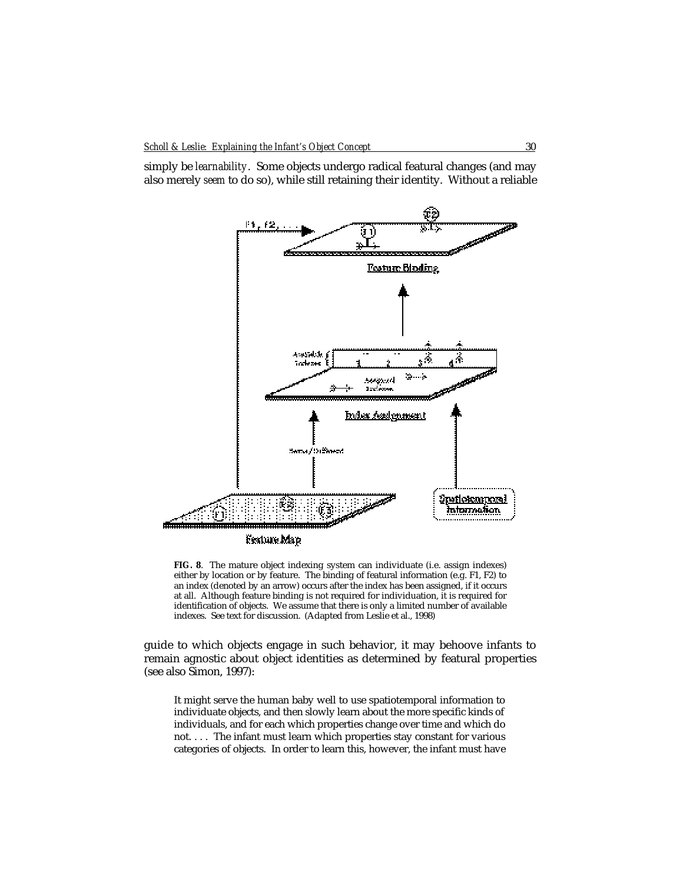simply be *learnability*. Some objects undergo radical featural changes (and may also merely *seem* to do so), while still retaining their identity. Without a reliable



**FIG. 8**. The mature object indexing system can individuate (i.e. assign indexes) either by location or by feature. The binding of featural information (e.g. F1, F2) to an index (denoted by an arrow) occurs after the index has been assigned, if it occurs at all. Although feature binding is not required for individuation, it is required for identification of objects. We assume that there is only a limited number of available indexes. See text for discussion. (Adapted from Leslie et al., 1998)

guide to which objects engage in such behavior, it may behoove infants to remain agnostic about object identities as determined by featural properties (see also Simon, 1997):

It might serve the human baby well to use spatiotemporal information to individuate objects, and then slowly learn about the more specific kinds of individuals, and for each which properties change over time and which do not. . . . The infant must learn which properties stay constant for various categories of objects. In order to learn this, however, the infant must have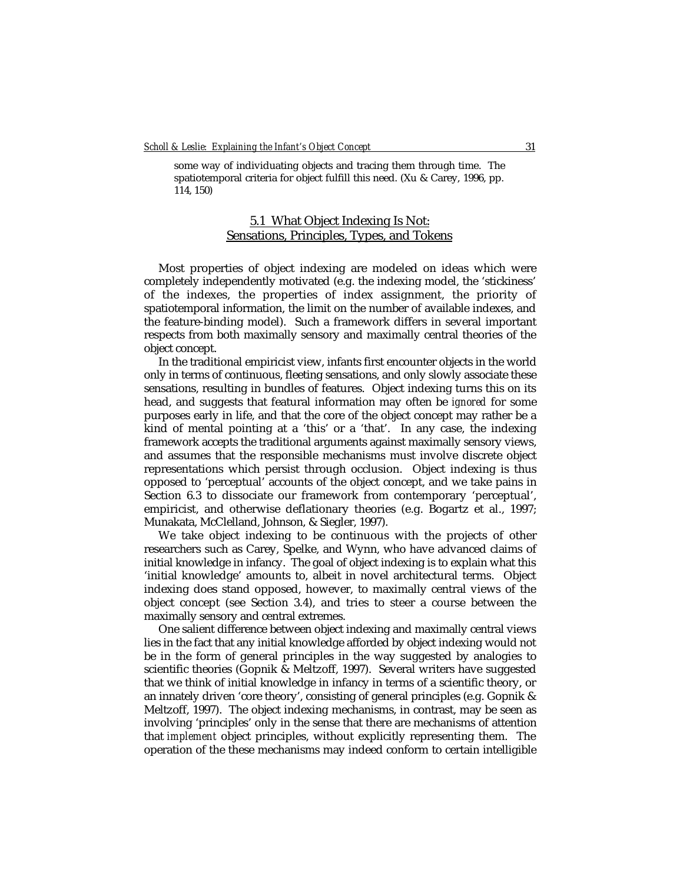some way of individuating objects and tracing them through time. The spatiotemporal criteria for object fulfill this need. (Xu & Carey, 1996, pp. 114, 150)

# 5.1 What Object Indexing Is Not: Sensations, Principles, Types, and Tokens

Most properties of object indexing are modeled on ideas which were completely independently motivated (e.g. the indexing model, the 'stickiness' of the indexes, the properties of index assignment, the priority of spatiotemporal information, the limit on the number of available indexes, and the feature-binding model). Such a framework differs in several important respects from both maximally sensory and maximally central theories of the object concept.

In the traditional empiricist view, infants first encounter objects in the world only in terms of continuous, fleeting sensations, and only slowly associate these sensations, resulting in bundles of features. Object indexing turns this on its head, and suggests that featural information may often be *ignored* for some purposes early in life, and that the core of the object concept may rather be a kind of mental pointing at a 'this' or a 'that'. In any case, the indexing framework accepts the traditional arguments against maximally sensory views, and assumes that the responsible mechanisms must involve discrete object representations which persist through occlusion. Object indexing is thus opposed to 'perceptual' accounts of the object concept, and we take pains in Section 6.3 to dissociate our framework from contemporary 'perceptual', empiricist, and otherwise deflationary theories (e.g. Bogartz et al., 1997; Munakata, McClelland, Johnson, & Siegler, 1997).

We take object indexing to be continuous with the projects of other researchers such as Carey, Spelke, and Wynn, who have advanced claims of initial knowledge in infancy. The goal of object indexing is to explain what this 'initial knowledge' amounts to, albeit in novel architectural terms. Object indexing does stand opposed, however, to maximally central views of the object concept (see Section 3.4), and tries to steer a course between the maximally sensory and central extremes.

One salient difference between object indexing and maximally central views lies in the fact that any initial knowledge afforded by object indexing would not be in the form of general principles in the way suggested by analogies to scientific theories (Gopnik & Meltzoff, 1997). Several writers have suggested that we think of initial knowledge in infancy in terms of a scientific theory, or an innately driven 'core theory', consisting of general principles (e.g. Gopnik & Meltzoff, 1997). The object indexing mechanisms, in contrast, may be seen as involving 'principles' only in the sense that there are mechanisms of attention that *implement* object principles, without explicitly representing them. The operation of the these mechanisms may indeed conform to certain intelligible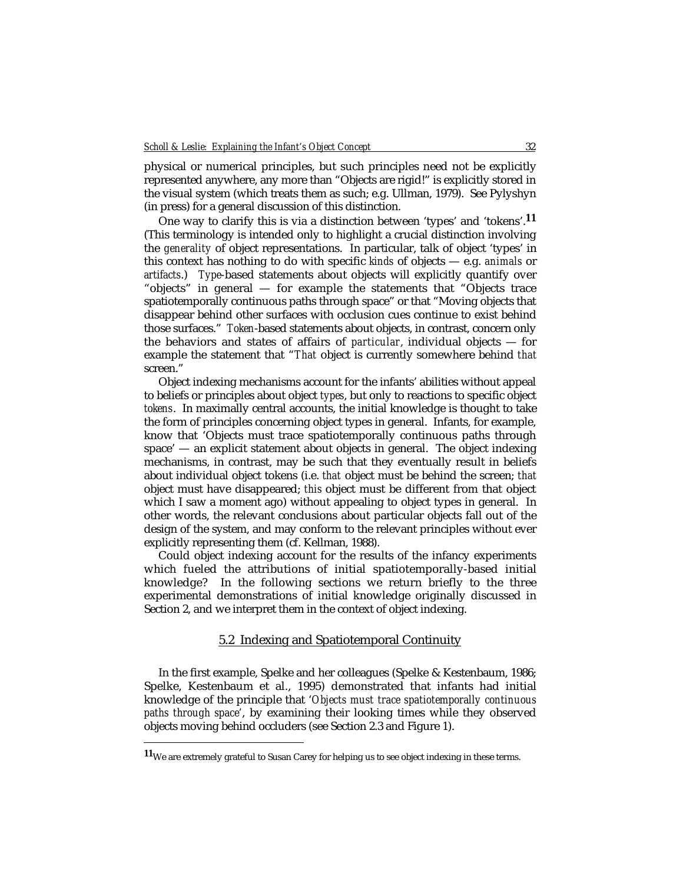physical or numerical principles, but such principles need not be explicitly represented anywhere, any more than "Objects are rigid!" is explicitly stored in the visual system (which treats them as such; e.g. Ullman, 1979). See Pylyshyn (in press) for a general discussion of this distinction.

One way to clarify this is via a distinction between 'types' and 'tokens'.**11** (This terminology is intended only to highlight a crucial distinction involving the *generality* of object representations. In particular, talk of object 'types' in this context has nothing to do with specific *kinds* of objects — e.g. *animals* or *artifacts*.) *Type*-based statements about objects will explicitly quantify over "objects" in general — for example the statements that "Objects trace spatiotemporally continuous paths through space" or that "Moving objects that disappear behind other surfaces with occlusion cues continue to exist behind those surfaces." *Token*-based statements about objects, in contrast, concern only the behaviors and states of affairs of *particular*, individual objects — for example the statement that "*That* object is currently somewhere behind *that* screen."

Object indexing mechanisms account for the infants' abilities without appeal to beliefs or principles about object *types*, but only to reactions to specific object *tokens*. In maximally central accounts, the initial knowledge is thought to take the form of principles concerning object types in general. Infants, for example, know that 'Objects must trace spatiotemporally continuous paths through space' — an explicit statement about objects in general. The object indexing mechanisms, in contrast, may be such that they eventually result in beliefs about individual object tokens (i.e. *that* object must be behind the screen; *that* object must have disappeared; *this* object must be different from that object which I saw a moment ago) without appealing to object types in general. In other words, the relevant conclusions about particular objects fall out of the design of the system, and may conform to the relevant principles without ever explicitly representing them (cf. Kellman, 1988).

Could object indexing account for the results of the infancy experiments which fueled the attributions of initial spatiotemporally-based initial knowledge? In the following sections we return briefly to the three experimental demonstrations of initial knowledge originally discussed in Section 2, and we interpret them in the context of object indexing.

### 5.2 Indexing and Spatiotemporal Continuity

In the first example, Spelke and her colleagues (Spelke & Kestenbaum, 1986; Spelke, Kestenbaum et al., 1995) demonstrated that infants had initial knowledge of the principle that '*Objects must trace spatiotemporally continuous paths through space'*, by examining their looking times while they observed objects moving behind occluders (see Section 2.3 and Figure 1).

**<sup>11</sup>**We are extremely grateful to Susan Carey for helping us to see object indexing in these terms.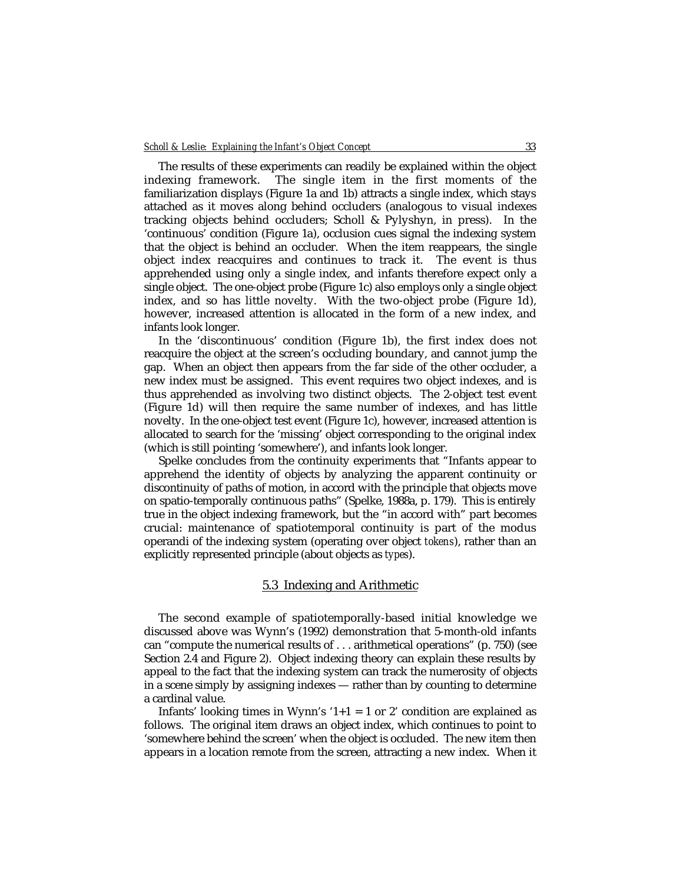The results of these experiments can readily be explained within the object indexing framework. The single item in the first moments of the familiarization displays (Figure 1a and 1b) attracts a single index, which stays attached as it moves along behind occluders (analogous to visual indexes tracking objects behind occluders; Scholl & Pylyshyn, in press). In the 'continuous' condition (Figure 1a), occlusion cues signal the indexing system that the object is behind an occluder. When the item reappears, the single object index reacquires and continues to track it. The event is thus apprehended using only a single index, and infants therefore expect only a single object. The one-object probe (Figure 1c) also employs only a single object index, and so has little novelty. With the two-object probe (Figure 1d), however, increased attention is allocated in the form of a new index, and infants look longer.

In the 'discontinuous' condition (Figure 1b), the first index does not reacquire the object at the screen's occluding boundary, and cannot jump the gap. When an object then appears from the far side of the other occluder, a new index must be assigned. This event requires two object indexes, and is thus apprehended as involving two distinct objects. The 2-object test event (Figure 1d) will then require the same number of indexes, and has little novelty. In the one-object test event (Figure 1c), however, increased attention is allocated to search for the 'missing' object corresponding to the original index (which is still pointing 'somewhere'), and infants look longer.

Spelke concludes from the continuity experiments that "Infants appear to apprehend the identity of objects by analyzing the apparent continuity or discontinuity of paths of motion, in accord with the principle that objects move on spatio-temporally continuous paths" (Spelke, 1988a, p. 179). This is entirely true in the object indexing framework, but the "in accord with" part becomes crucial: maintenance of spatiotemporal continuity is part of the modus operandi of the indexing system (operating over object *tokens*), rather than an explicitly represented principle (about objects as *types*).

### 5.3 Indexing and Arithmetic

The second example of spatiotemporally-based initial knowledge we discussed above was Wynn's (1992) demonstration that 5-month-old infants can "compute the numerical results of . . . arithmetical operations" (p. 750) (see Section 2.4 and Figure 2). Object indexing theory can explain these results by appeal to the fact that the indexing system can track the numerosity of objects in a scene simply by assigning indexes — rather than by counting to determine a cardinal value.

Infants' looking times in Wynn's ' $1+1 = 1$  or 2' condition are explained as follows. The original item draws an object index, which continues to point to 'somewhere behind the screen' when the object is occluded. The new item then appears in a location remote from the screen, attracting a new index. When it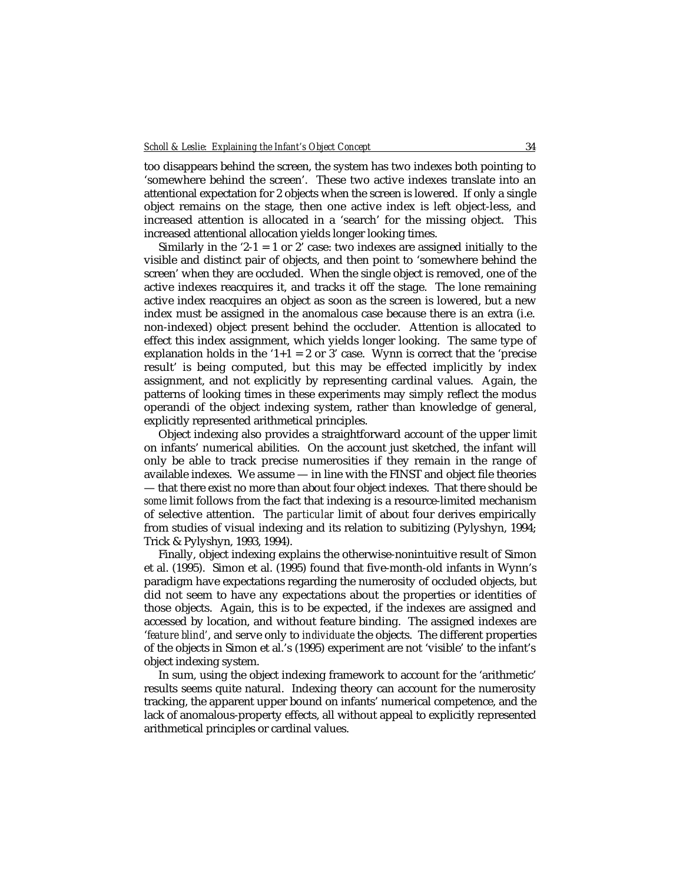too disappears behind the screen, the system has two indexes both pointing to 'somewhere behind the screen'. These two active indexes translate into an attentional expectation for 2 objects when the screen is lowered. If only a single object remains on the stage, then one active index is left object-less, and increased attention is allocated in a 'search' for the missing object. This increased attentional allocation yields longer looking times.

Similarly in the '2-1 = 1 or 2' case: two indexes are assigned initially to the visible and distinct pair of objects, and then point to 'somewhere behind the screen' when they are occluded. When the single object is removed, one of the active indexes reacquires it, and tracks it off the stage. The lone remaining active index reacquires an object as soon as the screen is lowered, but a new index must be assigned in the anomalous case because there is an extra (i.e. non-indexed) object present behind the occluder. Attention is allocated to effect this index assignment, which yields longer looking. The same type of explanation holds in the '1+1 = 2 or 3' case. Wynn is correct that the 'precise result' is being computed, but this may be effected implicitly by index assignment, and not explicitly by representing cardinal values. Again, the patterns of looking times in these experiments may simply reflect the modus operandi of the object indexing system, rather than knowledge of general, explicitly represented arithmetical principles.

Object indexing also provides a straightforward account of the upper limit on infants' numerical abilities. On the account just sketched, the infant will only be able to track precise numerosities if they remain in the range of available indexes. We assume — in line with the FINST and object file theories — that there exist no more than about four object indexes. That there should be *some* limit follows from the fact that indexing is a resource-limited mechanism of selective attention. The *particular* limit of about four derives empirically from studies of visual indexing and its relation to subitizing (Pylyshyn, 1994; Trick & Pylyshyn, 1993, 1994).

Finally, object indexing explains the otherwise-nonintuitive result of Simon et al. (1995). Simon et al. (1995) found that five-month-old infants in Wynn's paradigm have expectations regarding the numerosity of occluded objects, but did not seem to have any expectations about the properties or identities of those objects. Again, this is to be expected, if the indexes are assigned and accessed by location, and without feature binding. The assigned indexes are '*feature blind'*, and serve only to *individuate* the objects. The different properties of the objects in Simon et al.'s (1995) experiment are not 'visible' to the infant's object indexing system.

In sum, using the object indexing framework to account for the 'arithmetic' results seems quite natural. Indexing theory can account for the numerosity tracking, the apparent upper bound on infants' numerical competence, and the lack of anomalous-property effects, all without appeal to explicitly represented arithmetical principles or cardinal values.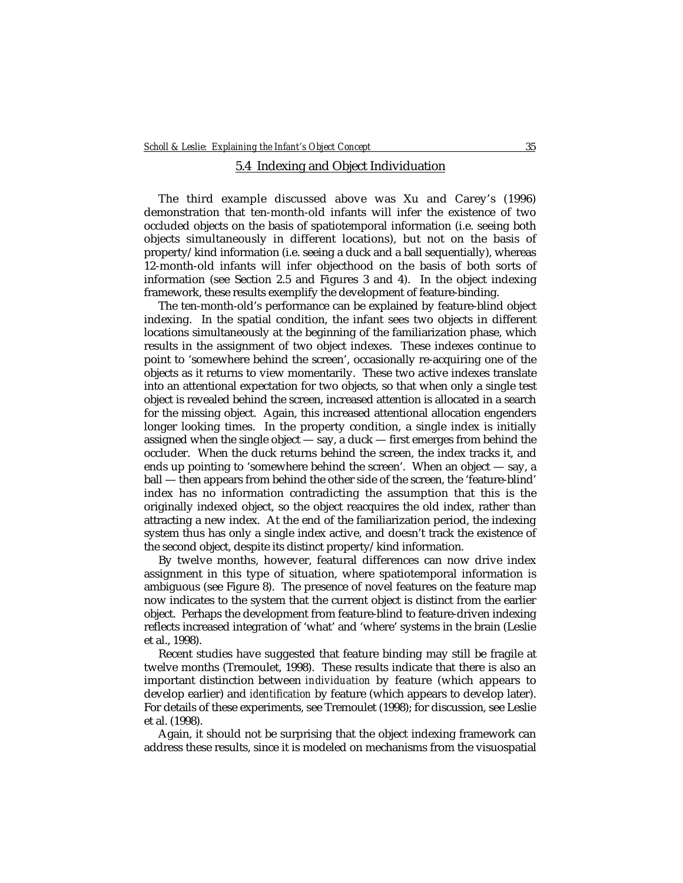#### 5.4 Indexing and Object Individuation

The third example discussed above was Xu and Carey's (1996) demonstration that ten-month-old infants will infer the existence of two occluded objects on the basis of spatiotemporal information (i.e. seeing both objects simultaneously in different locations), but not on the basis of property/kind information (i.e. seeing a duck and a ball sequentially), whereas 12-month-old infants will infer objecthood on the basis of both sorts of information (see Section 2.5 and Figures 3 and 4). In the object indexing framework, these results exemplify the development of feature-binding.

The ten-month-old's performance can be explained by feature-blind object indexing. In the spatial condition, the infant sees two objects in different locations simultaneously at the beginning of the familiarization phase, which results in the assignment of two object indexes. These indexes continue to point to 'somewhere behind the screen', occasionally re-acquiring one of the objects as it returns to view momentarily. These two active indexes translate into an attentional expectation for two objects, so that when only a single test object is revealed behind the screen, increased attention is allocated in a search for the missing object. Again, this increased attentional allocation engenders longer looking times. In the property condition, a single index is initially assigned when the single object — say, a duck — first emerges from behind the occluder. When the duck returns behind the screen, the index tracks it, and ends up pointing to 'somewhere behind the screen'. When an object — say, a ball — then appears from behind the other side of the screen, the 'feature-blind' index has no information contradicting the assumption that this is the originally indexed object, so the object reacquires the old index, rather than attracting a new index. At the end of the familiarization period, the indexing system thus has only a single index active, and doesn't track the existence of the second object, despite its distinct property/kind information.

By twelve months, however, featural differences can now drive index assignment in this type of situation, where spatiotemporal information is ambiguous (see Figure 8). The presence of novel features on the feature map now indicates to the system that the current object is distinct from the earlier object. Perhaps the development from feature-blind to feature-driven indexing reflects increased integration of 'what' and 'where' systems in the brain (Leslie et al., 1998).

Recent studies have suggested that feature binding may still be fragile at twelve months (Tremoulet, 1998). These results indicate that there is also an important distinction between *individuation* by feature (which appears to develop earlier) and *identification* by feature (which appears to develop later). For details of these experiments, see Tremoulet (1998); for discussion, see Leslie et al. (1998).

Again, it should not be surprising that the object indexing framework can address these results, since it is modeled on mechanisms from the visuospatial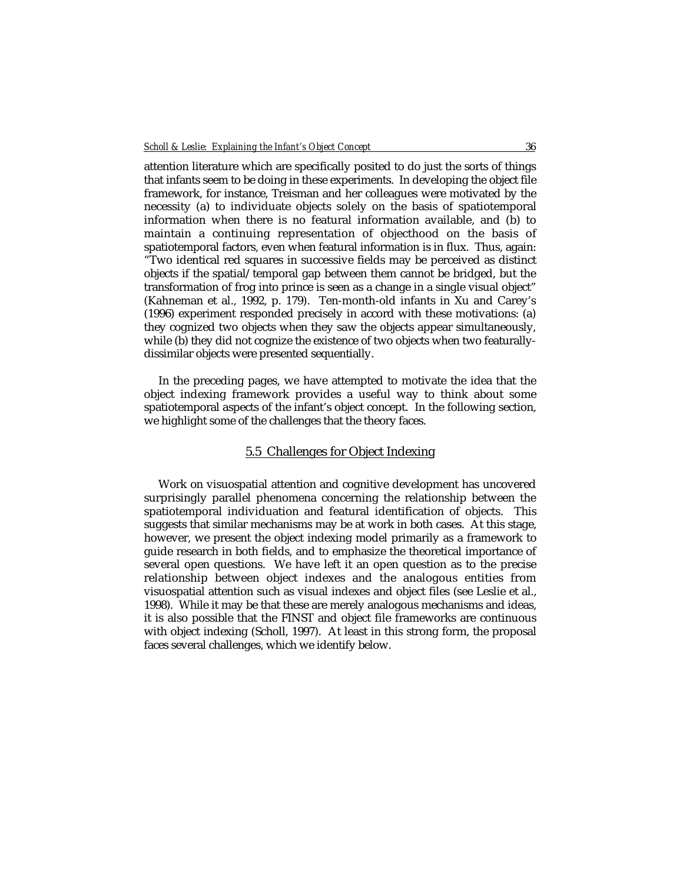attention literature which are specifically posited to do just the sorts of things that infants seem to be doing in these experiments. In developing the object file framework, for instance, Treisman and her colleagues were motivated by the necessity (a) to individuate objects solely on the basis of spatiotemporal information when there is no featural information available, and (b) to maintain a continuing representation of objecthood on the basis of spatiotemporal factors, even when featural information is in flux. Thus, again: "Two identical red squares in successive fields may be perceived as distinct objects if the spatial/temporal gap between them cannot be bridged, but the transformation of frog into prince is seen as a change in a single visual object" (Kahneman et al., 1992, p. 179). Ten-month-old infants in Xu and Carey's (1996) experiment responded precisely in accord with these motivations: (a) they cognized two objects when they saw the objects appear simultaneously, while (b) they did not cognize the existence of two objects when two featurallydissimilar objects were presented sequentially.

In the preceding pages, we have attempted to motivate the idea that the object indexing framework provides a useful way to think about some spatiotemporal aspects of the infant's object concept. In the following section, we highlight some of the challenges that the theory faces.

### 5.5 Challenges for Object Indexing

Work on visuospatial attention and cognitive development has uncovered surprisingly parallel phenomena concerning the relationship between the spatiotemporal individuation and featural identification of objects. This suggests that similar mechanisms may be at work in both cases. At this stage, however, we present the object indexing model primarily as a framework to guide research in both fields, and to emphasize the theoretical importance of several open questions. We have left it an open question as to the precise relationship between object indexes and the analogous entities from visuospatial attention such as visual indexes and object files (see Leslie et al., 1998). While it may be that these are merely analogous mechanisms and ideas, it is also possible that the FINST and object file frameworks are continuous with object indexing (Scholl, 1997). At least in this strong form, the proposal faces several challenges, which we identify below.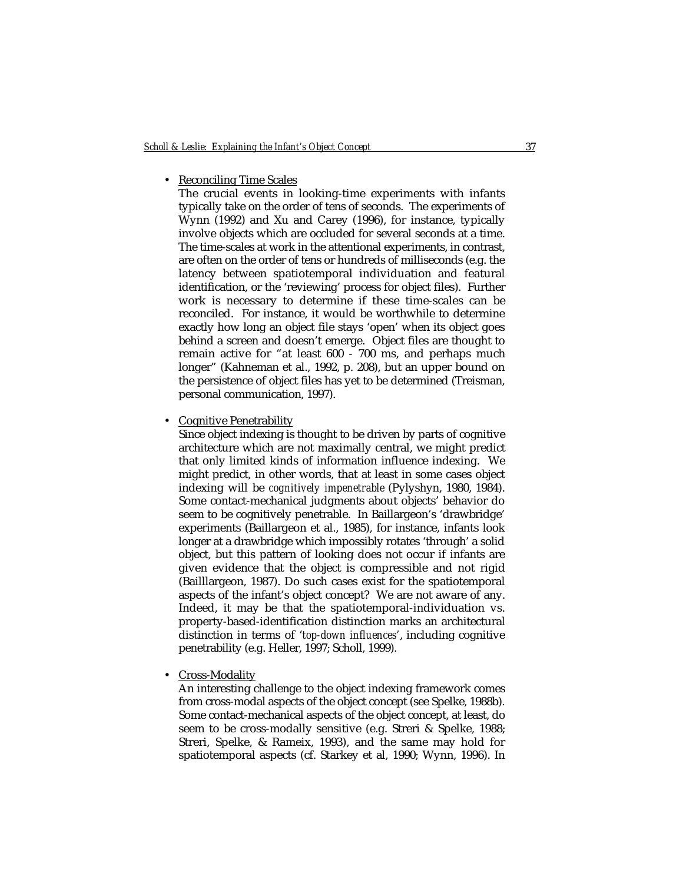• Reconciling Time Scales

The crucial events in looking-time experiments with infants typically take on the order of tens of seconds. The experiments of Wynn (1992) and Xu and Carey (1996), for instance, typically involve objects which are occluded for several seconds at a time. The time-scales at work in the attentional experiments, in contrast, are often on the order of tens or hundreds of milliseconds (e.g. the latency between spatiotemporal individuation and featural identification, or the 'reviewing' process for object files). Further work is necessary to determine if these time-scales can be reconciled. For instance, it would be worthwhile to determine exactly how long an object file stays 'open' when its object goes behind a screen and doesn't emerge. Object files are thought to remain active for "at least 600 - 700 ms, and perhaps much longer" (Kahneman et al., 1992, p. 208), but an upper bound on the persistence of object files has yet to be determined (Treisman, personal communication, 1997).

• Cognitive Penetrability

Since object indexing is thought to be driven by parts of cognitive architecture which are not maximally central, we might predict that only limited kinds of information influence indexing. We might predict, in other words, that at least in some cases object indexing will be *cognitively impenetrable* (Pylyshyn, 1980, 1984). Some contact-mechanical judgments about objects' behavior do seem to be cognitively penetrable. In Baillargeon's 'drawbridge' experiments (Baillargeon et al., 1985), for instance, infants look longer at a drawbridge which impossibly rotates 'through' a solid object, but this pattern of looking does not occur if infants are given evidence that the object is compressible and not rigid (Bailllargeon, 1987). Do such cases exist for the spatiotemporal aspects of the infant's object concept? We are not aware of any. Indeed, it may be that the spatiotemporal-individuation vs. property-based-identification distinction marks an architectural distinction in terms of '*top-down influences'*, including cognitive penetrability (e.g. Heller, 1997; Scholl, 1999).

• Cross-Modality

An interesting challenge to the object indexing framework comes from cross-modal aspects of the object concept (see Spelke, 1988b). Some contact-mechanical aspects of the object concept, at least, do seem to be cross-modally sensitive (e.g. Streri & Spelke, 1988; Streri, Spelke, & Rameix, 1993), and the same may hold for spatiotemporal aspects (cf. Starkey et al, 1990; Wynn, 1996). In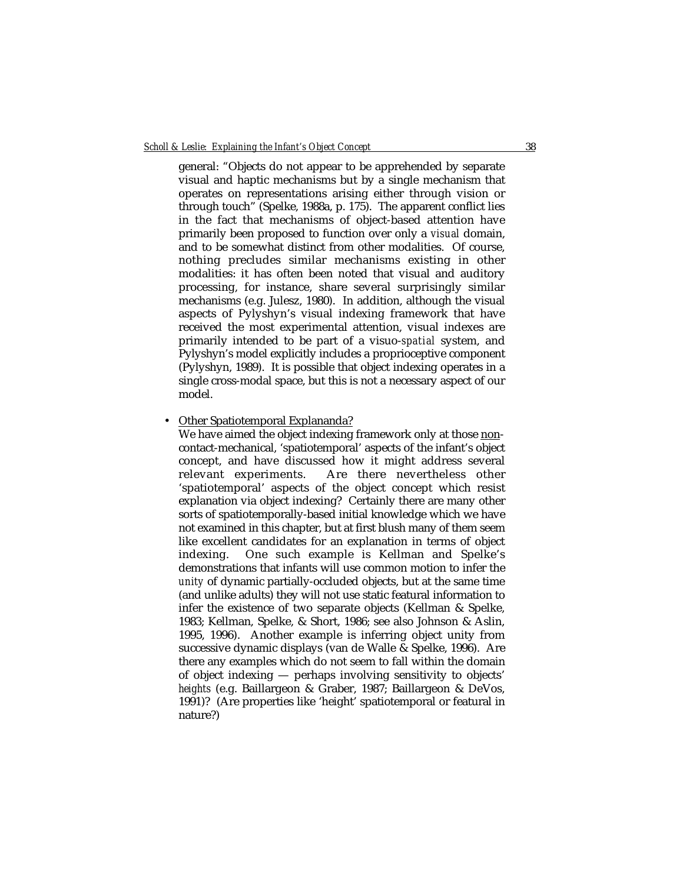general: "Objects do not appear to be apprehended by separate visual and haptic mechanisms but by a single mechanism that operates on representations arising either through vision or through touch" (Spelke, 1988a, p. 175). The apparent conflict lies in the fact that mechanisms of object-based attention have primarily been proposed to function over only a *visual* domain, and to be somewhat distinct from other modalities. Of course, nothing precludes similar mechanisms existing in other modalities: it has often been noted that visual and auditory processing, for instance, share several surprisingly similar mechanisms (e.g. Julesz, 1980). In addition, although the visual aspects of Pylyshyn's visual indexing framework that have received the most experimental attention, visual indexes are primarily intended to be part of a visuo-*spatial* system, and Pylyshyn's model explicitly includes a proprioceptive component (Pylyshyn, 1989). It is possible that object indexing operates in a single cross-modal space, but this is not a necessary aspect of our model.

• Other Spatiotemporal Explananda?

We have aimed the object indexing framework only at those noncontact-mechanical, 'spatiotemporal' aspects of the infant's object concept, and have discussed how it might address several relevant experiments. Are there nevertheless other 'spatiotemporal' aspects of the object concept which resist explanation via object indexing? Certainly there are many other sorts of spatiotemporally-based initial knowledge which we have not examined in this chapter, but at first blush many of them seem like excellent candidates for an explanation in terms of object indexing. One such example is Kellman and Spelke's demonstrations that infants will use common motion to infer the *unity* of dynamic partially-occluded objects, but at the same time (and unlike adults) they will not use static featural information to infer the existence of two separate objects (Kellman & Spelke, 1983; Kellman, Spelke, & Short, 1986; see also Johnson & Aslin, 1995, 1996). Another example is inferring object unity from successive dynamic displays (van de Walle & Spelke, 1996). Are there any examples which do not seem to fall within the domain of object indexing — perhaps involving sensitivity to objects' *heights* (e.g. Baillargeon & Graber, 1987; Baillargeon & DeVos, 1991)? (Are properties like 'height' spatiotemporal or featural in nature?)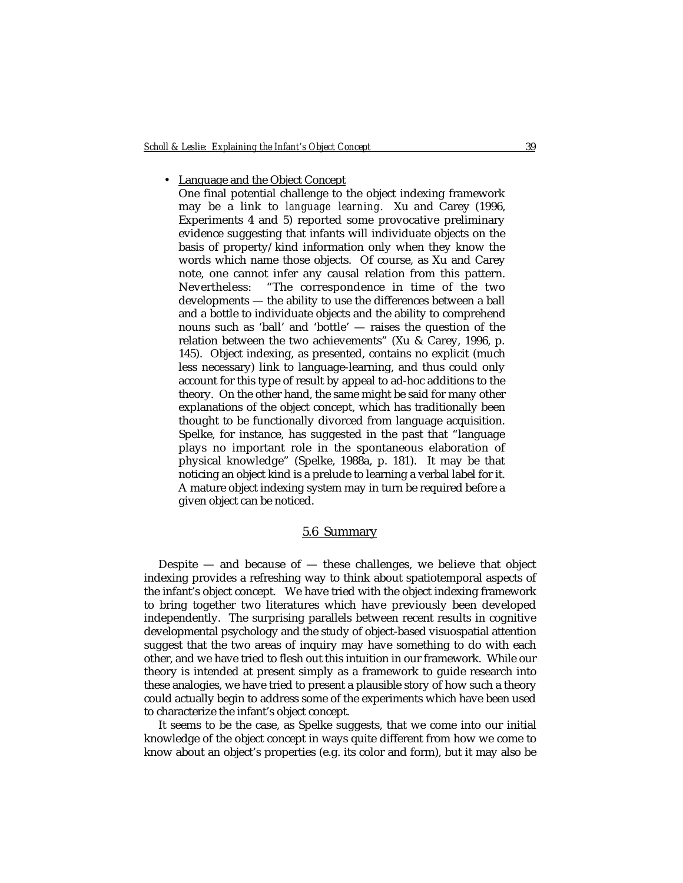### • Language and the Object Concept

One final potential challenge to the object indexing framework may be a link to *language learning*. Xu and Carey (1996, Experiments 4 and 5) reported some provocative preliminary evidence suggesting that infants will individuate objects on the basis of property/kind information only when they know the words which name those objects. Of course, as Xu and Carey note, one cannot infer any causal relation from this pattern. Nevertheless: "The correspondence in time of the two developments — the ability to use the differences between a ball and a bottle to individuate objects and the ability to comprehend nouns such as 'ball' and 'bottle' — raises the question of the relation between the two achievements" (Xu & Carey, 1996, p. 145). Object indexing, as presented, contains no explicit (much less necessary) link to language-learning, and thus could only account for this type of result by appeal to ad-hoc additions to the theory. On the other hand, the same might be said for many other explanations of the object concept, which has traditionally been thought to be functionally divorced from language acquisition. Spelke, for instance, has suggested in the past that "language plays no important role in the spontaneous elaboration of physical knowledge" (Spelke, 1988a, p. 181). It may be that noticing an object kind is a prelude to learning a verbal label for it. A mature object indexing system may in turn be required before a given object can be noticed.

### 5.6 Summary

Despite  $-$  and because of  $-$  these challenges, we believe that object indexing provides a refreshing way to think about spatiotemporal aspects of the infant's object concept. We have tried with the object indexing framework to bring together two literatures which have previously been developed independently. The surprising parallels between recent results in cognitive developmental psychology and the study of object-based visuospatial attention suggest that the two areas of inquiry may have something to do with each other, and we have tried to flesh out this intuition in our framework. While our theory is intended at present simply as a framework to guide research into these analogies, we have tried to present a plausible story of how such a theory could actually begin to address some of the experiments which have been used to characterize the infant's object concept.

It seems to be the case, as Spelke suggests, that we come into our initial knowledge of the object concept in ways quite different from how we come to know about an object's properties (e.g. its color and form), but it may also be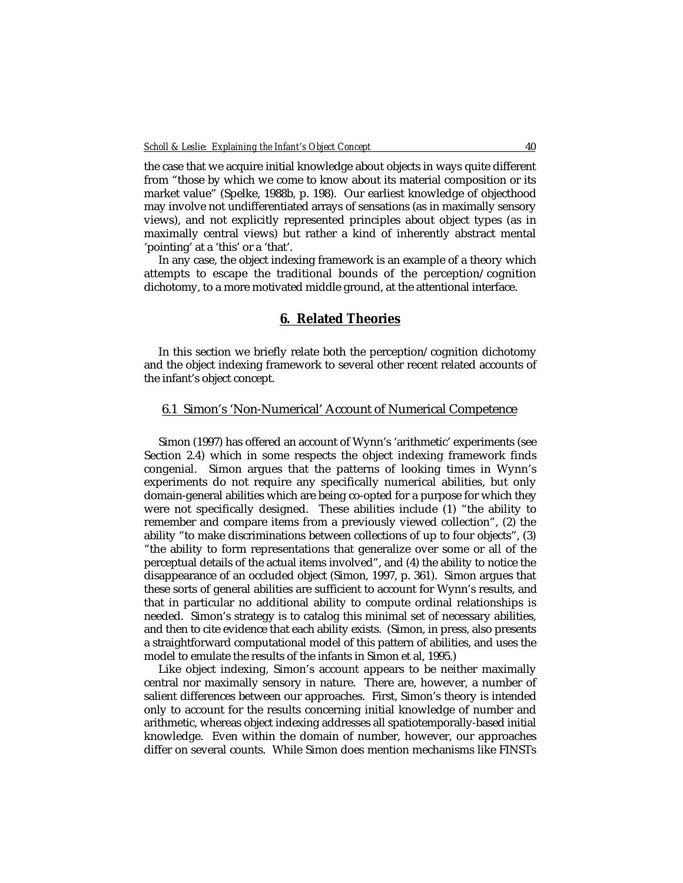the case that we acquire initial knowledge about objects in ways quite different from "those by which we come to know about its material composition or its market value" (Spelke, 1988b, p. 198). Our earliest knowledge of objecthood may involve not undifferentiated arrays of sensations (as in maximally sensory views), and not explicitly represented principles about object types (as in maximally central views) but rather a kind of inherently abstract mental 'pointing' at a 'this' or a 'that'.

In any case, the object indexing framework is an example of a theory which attempts to escape the traditional bounds of the perception/cognition dichotomy, to a more motivated middle ground, at the attentional interface.

### **6. Related Theories**

In this section we briefly relate both the perception/cognition dichotomy and the object indexing framework to several other recent related accounts of the infant's object concept.

#### 6.1 Simon's 'Non-Numerical' Account of Numerical Competence

Simon (1997) has offered an account of Wynn's 'arithmetic' experiments (see Section 2.4) which in some respects the object indexing framework finds congenial. Simon argues that the patterns of looking times in Wynn's experiments do not require any specifically numerical abilities, but only domain-general abilities which are being co-opted for a purpose for which they were not specifically designed. These abilities include (1) "the ability to remember and compare items from a previously viewed collection", (2) the ability "to make discriminations between collections of up to four objects", (3) "the ability to form representations that generalize over some or all of the perceptual details of the actual items involved", and (4) the ability to notice the disappearance of an occluded object (Simon, 1997, p. 361). Simon argues that these sorts of general abilities are sufficient to account for Wynn's results, and that in particular no additional ability to compute ordinal relationships is needed. Simon's strategy is to catalog this minimal set of necessary abilities, and then to cite evidence that each ability exists. (Simon, in press, also presents a straightforward computational model of this pattern of abilities, and uses the model to emulate the results of the infants in Simon et al, 1995.)

Like object indexing, Simon's account appears to be neither maximally central nor maximally sensory in nature. There are, however, a number of salient differences between our approaches. First, Simon's theory is intended only to account for the results concerning initial knowledge of number and arithmetic, whereas object indexing addresses all spatiotemporally-based initial knowledge. Even within the domain of number, however, our approaches differ on several counts. While Simon does mention mechanisms like FINSTs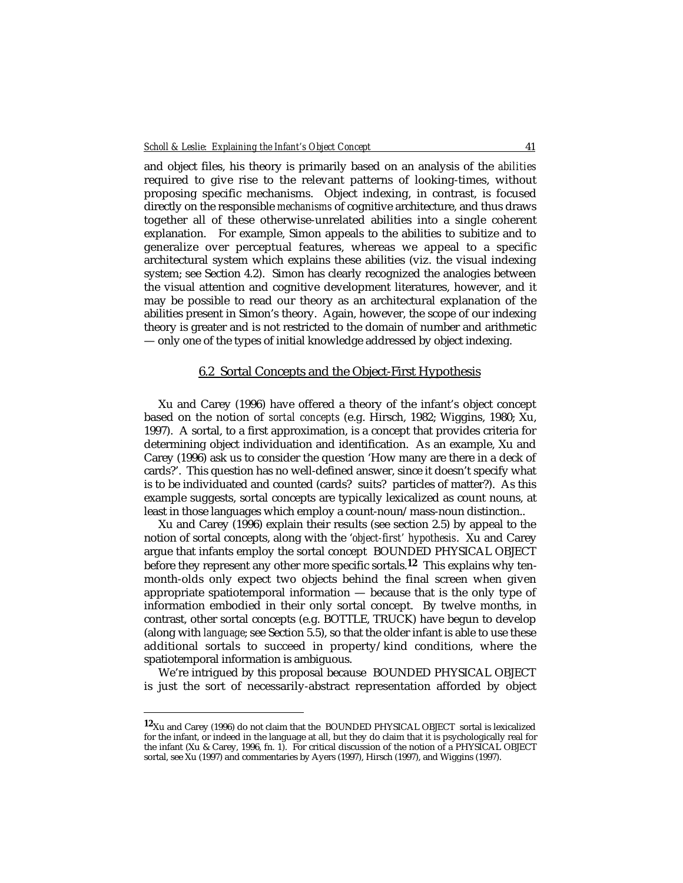and object files, his theory is primarily based on an analysis of the *abilities* required to give rise to the relevant patterns of looking-times, without proposing specific mechanisms. Object indexing, in contrast, is focused directly on the responsible *mechanisms* of cognitive architecture, and thus draws together all of these otherwise-unrelated abilities into a single coherent explanation. For example, Simon appeals to the abilities to subitize and to generalize over perceptual features, whereas we appeal to a specific architectural system which explains these abilities (viz. the visual indexing system; see Section 4.2). Simon has clearly recognized the analogies between the visual attention and cognitive development literatures, however, and it may be possible to read our theory as an architectural explanation of the abilities present in Simon's theory. Again, however, the scope of our indexing theory is greater and is not restricted to the domain of number and arithmetic — only one of the types of initial knowledge addressed by object indexing.

### 6.2 Sortal Concepts and the Object-First Hypothesis

Xu and Carey (1996) have offered a theory of the infant's object concept based on the notion of *sortal concepts* (e.g. Hirsch, 1982; Wiggins, 1980; Xu, 1997). A sortal, to a first approximation, is a concept that provides criteria for determining object individuation and identification. As an example, Xu and Carey (1996) ask us to consider the question 'How many are there in a deck of cards?'. This question has no well-defined answer, since it doesn't specify what is to be individuated and counted (cards? suits? particles of matter?). As this example suggests, sortal concepts are typically lexicalized as count nouns, at least in those languages which employ a count-noun/mass-noun distinction..

Xu and Carey (1996) explain their results (see section 2.5) by appeal to the notion of sortal concepts, along with the '*object-first' hypothesis*. Xu and Carey argue that infants employ the sortal concept BOUNDED PHYSICAL OBJECT before they represent any other more specific sortals.**12** This explains why tenmonth-olds only expect two objects behind the final screen when given appropriate spatiotemporal information — because that is the only type of information embodied in their only sortal concept. By twelve months, in contrast, other sortal concepts (e.g. BOTTLE, TRUCK) have begun to develop (along with *language*; see Section 5.5), so that the older infant is able to use these additional sortals to succeed in property/kind conditions, where the spatiotemporal information is ambiguous.

We're intrigued by this proposal because BOUNDED PHYSICAL OBJECT is just the sort of necessarily-abstract representation afforded by object

**<sup>12</sup>**Xu and Carey (1996) do not claim that the BOUNDED PHYSICAL OBJECT sortal is lexicalized for the infant, or indeed in the language at all, but they do claim that it is psychologically real for the infant (Xu & Carey, 1996, fn. 1). For critical discussion of the notion of a PHYSICAL OBJECT sortal, see Xu (1997) and commentaries by Ayers (1997), Hirsch (1997), and Wiggins (1997).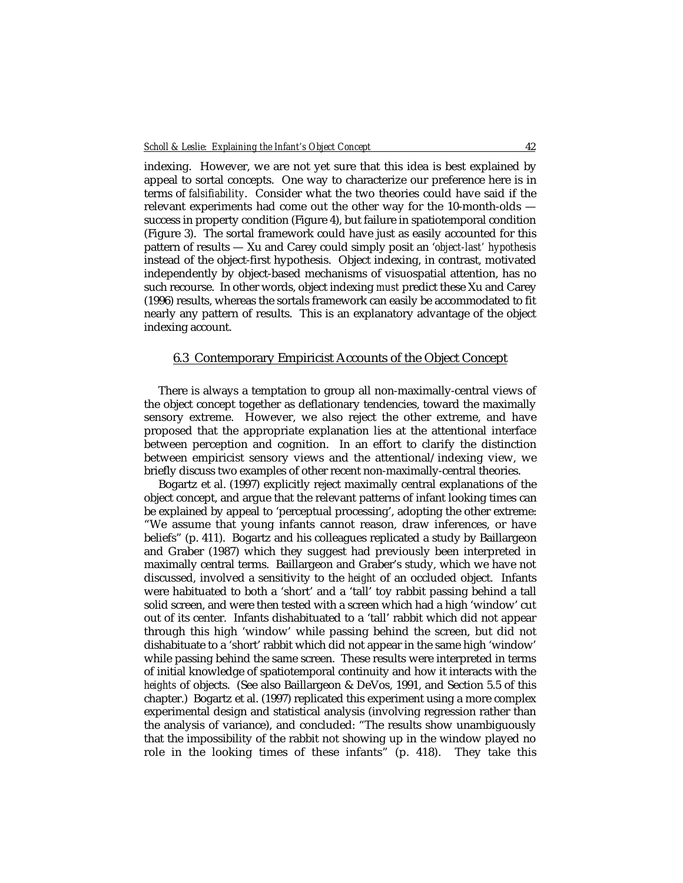indexing. However, we are not yet sure that this idea is best explained by appeal to sortal concepts. One way to characterize our preference here is in terms of *falsifiability*. Consider what the two theories could have said if the relevant experiments had come out the other way for the 10-month-olds success in property condition (Figure 4), but failure in spatiotemporal condition (Figure 3). The sortal framework could have just as easily accounted for this pattern of results — Xu and Carey could simply posit an '*object-last' hypothesis* instead of the object-first hypothesis. Object indexing, in contrast, motivated independently by object-based mechanisms of visuospatial attention, has no such recourse. In other words, object indexing *must* predict these Xu and Carey (1996) results, whereas the sortals framework can easily be accommodated to fit nearly any pattern of results. This is an explanatory advantage of the object indexing account.

### 6.3 Contemporary Empiricist Accounts of the Object Concept

There is always a temptation to group all non-maximally-central views of the object concept together as deflationary tendencies, toward the maximally sensory extreme. However, we also reject the other extreme, and have proposed that the appropriate explanation lies at the attentional interface between perception and cognition. In an effort to clarify the distinction between empiricist sensory views and the attentional/indexing view, we briefly discuss two examples of other recent non-maximally-central theories.

Bogartz et al. (1997) explicitly reject maximally central explanations of the object concept, and argue that the relevant patterns of infant looking times can be explained by appeal to 'perceptual processing', adopting the other extreme: "We assume that young infants cannot reason, draw inferences, or have beliefs" (p. 411). Bogartz and his colleagues replicated a study by Baillargeon and Graber (1987) which they suggest had previously been interpreted in maximally central terms. Baillargeon and Graber's study, which we have not discussed, involved a sensitivity to the *height* of an occluded object. Infants were habituated to both a 'short' and a 'tall' toy rabbit passing behind a tall solid screen, and were then tested with a screen which had a high 'window' cut out of its center. Infants dishabituated to a 'tall' rabbit which did not appear through this high 'window' while passing behind the screen, but did not dishabituate to a 'short' rabbit which did not appear in the same high 'window' while passing behind the same screen. These results were interpreted in terms of initial knowledge of spatiotemporal continuity and how it interacts with the *heights* of objects. (See also Baillargeon & DeVos, 1991, and Section 5.5 of this chapter.) Bogartz et al. (1997) replicated this experiment using a more complex experimental design and statistical analysis (involving regression rather than the analysis of variance), and concluded: "The results show unambiguously that the impossibility of the rabbit not showing up in the window played no role in the looking times of these infants" (p. 418). They take this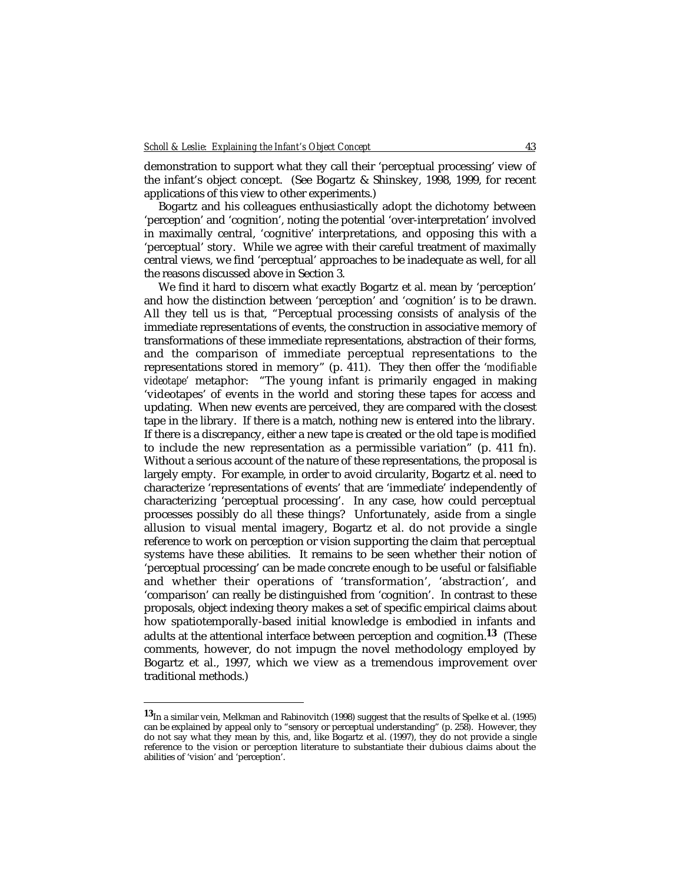demonstration to support what they call their 'perceptual processing' view of the infant's object concept. (See Bogartz & Shinskey, 1998, 1999, for recent applications of this view to other experiments.)

Bogartz and his colleagues enthusiastically adopt the dichotomy between 'perception' and 'cognition', noting the potential 'over-interpretation' involved in maximally central, 'cognitive' interpretations, and opposing this with a 'perceptual' story. While we agree with their careful treatment of maximally central views, we find 'perceptual' approaches to be inadequate as well, for all the reasons discussed above in Section 3.

We find it hard to discern what exactly Bogartz et al. mean by 'perception' and how the distinction between 'perception' and 'cognition' is to be drawn. All they tell us is that, "Perceptual processing consists of analysis of the immediate representations of events, the construction in associative memory of transformations of these immediate representations, abstraction of their forms, and the comparison of immediate perceptual representations to the representations stored in memory" (p. 411). They then offer the '*modifiable videotape'* metaphor: "The young infant is primarily engaged in making 'videotapes' of events in the world and storing these tapes for access and updating. When new events are perceived, they are compared with the closest tape in the library. If there is a match, nothing new is entered into the library. If there is a discrepancy, either a new tape is created or the old tape is modified to include the new representation as a permissible variation" (p. 411 fn). Without a serious account of the nature of these representations, the proposal is largely empty. For example, in order to avoid circularity, Bogartz et al. need to characterize 'representations of events' that are 'immediate' independently of characterizing 'perceptual processing'. In any case, how could perceptual processes possibly do *all* these things? Unfortunately, aside from a single allusion to visual mental imagery, Bogartz et al. do not provide a single reference to work on perception or vision supporting the claim that perceptual systems have these abilities. It remains to be seen whether their notion of 'perceptual processing' can be made concrete enough to be useful or falsifiable and whether their operations of 'transformation', 'abstraction', and 'comparison' can really be distinguished from 'cognition'. In contrast to these proposals, object indexing theory makes a set of specific empirical claims about how spatiotemporally-based initial knowledge is embodied in infants and adults at the attentional interface between perception and cognition.**13** (These comments, however, do not impugn the novel methodology employed by Bogartz et al., 1997, which we view as a tremendous improvement over traditional methods.)

**<sup>13</sup>**In a similar vein, Melkman and Rabinovitch (1998) suggest that the results of Spelke et al. (1995) can be explained by appeal only to "sensory or perceptual understanding" (p. 258). However, they do not say what they mean by this, and, like Bogartz et al. (1997), they do not provide a single reference to the vision or perception literature to substantiate their dubious claims about the abilities of 'vision' and 'perception'.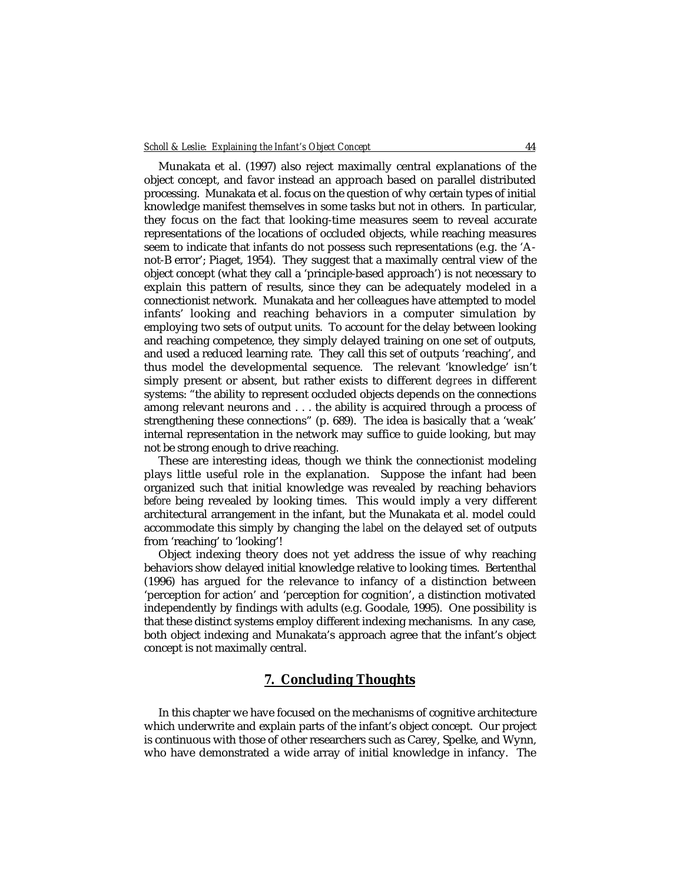Munakata et al. (1997) also reject maximally central explanations of the object concept, and favor instead an approach based on parallel distributed processing. Munakata et al. focus on the question of why certain types of initial knowledge manifest themselves in some tasks but not in others. In particular, they focus on the fact that looking-time measures seem to reveal accurate representations of the locations of occluded objects, while reaching measures seem to indicate that infants do not possess such representations (e.g. the 'Anot-B error'; Piaget, 1954). They suggest that a maximally central view of the object concept (what they call a 'principle-based approach') is not necessary to explain this pattern of results, since they can be adequately modeled in a connectionist network. Munakata and her colleagues have attempted to model infants' looking and reaching behaviors in a computer simulation by employing two sets of output units. To account for the delay between looking and reaching competence, they simply delayed training on one set of outputs, and used a reduced learning rate. They call this set of outputs 'reaching', and thus model the developmental sequence. The relevant 'knowledge' isn't simply present or absent, but rather exists to different *degrees* in different systems: "the ability to represent occluded objects depends on the connections among relevant neurons and . . . the ability is acquired through a process of strengthening these connections" (p. 689). The idea is basically that a 'weak' internal representation in the network may suffice to guide looking, but may not be strong enough to drive reaching.

These are interesting ideas, though we think the connectionist modeling plays little useful role in the explanation. Suppose the infant had been organized such that initial knowledge was revealed by reaching behaviors *before* being revealed by looking times. This would imply a very different architectural arrangement in the infant, but the Munakata et al. model could accommodate this simply by changing the *label* on the delayed set of outputs from 'reaching' to 'looking'!

Object indexing theory does not yet address the issue of why reaching behaviors show delayed initial knowledge relative to looking times. Bertenthal (1996) has argued for the relevance to infancy of a distinction between 'perception for action' and 'perception for cognition', a distinction motivated independently by findings with adults (e.g. Goodale, 1995). One possibility is that these distinct systems employ different indexing mechanisms. In any case, both object indexing and Munakata's approach agree that the infant's object concept is not maximally central.

# **7. Concluding Thoughts**

In this chapter we have focused on the mechanisms of cognitive architecture which underwrite and explain parts of the infant's object concept. Our project is continuous with those of other researchers such as Carey, Spelke, and Wynn, who have demonstrated a wide array of initial knowledge in infancy. The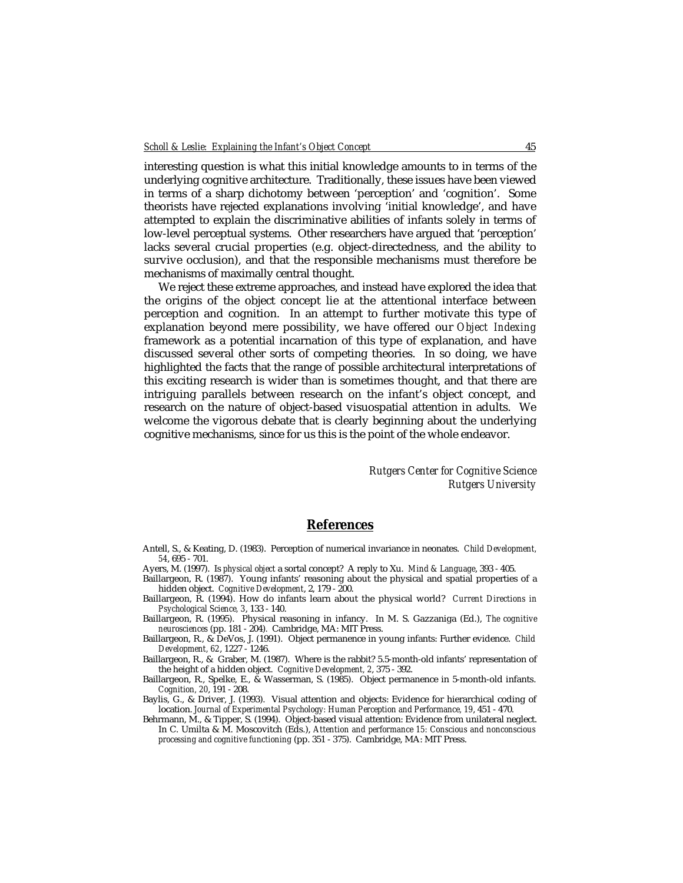interesting question is what this initial knowledge amounts to in terms of the underlying cognitive architecture. Traditionally, these issues have been viewed in terms of a sharp dichotomy between 'perception' and 'cognition'. Some theorists have rejected explanations involving 'initial knowledge', and have attempted to explain the discriminative abilities of infants solely in terms of low-level perceptual systems. Other researchers have argued that 'perception' lacks several crucial properties (e.g. object-directedness, and the ability to survive occlusion), and that the responsible mechanisms must therefore be mechanisms of maximally central thought.

 We reject these extreme approaches, and instead have explored the idea that the origins of the object concept lie at the attentional interface between perception and cognition. In an attempt to further motivate this type of explanation beyond mere possibility, we have offered our *Object Indexing* framework as a potential incarnation of this type of explanation, and have discussed several other sorts of competing theories. In so doing, we have highlighted the facts that the range of possible architectural interpretations of this exciting research is wider than is sometimes thought, and that there are intriguing parallels between research on the infant's object concept, and research on the nature of object-based visuospatial attention in adults. We welcome the vigorous debate that is clearly beginning about the underlying cognitive mechanisms, since for us this is the point of the whole endeavor.

> *Rutgers Center for Cognitive Science Rutgers University*

### **References**

- Antell, S., & Keating, D. (1983). Perception of numerical invariance in neonates. *Child Development, 54*, 695 - 701.
- Ayers, M. (1997). Is *physical object* a sortal concept? A reply to Xu. *Mind & Language*, 393 405.
- Baillargeon, R. (1987). Young infants' reasoning about the physical and spatial properties of a hidden object. *Cognitive Development*, 2, 179 - 200.
- Baillargeon, R. (1994). How do infants learn about the physical world? *Current Directions in Psychological Science, 3*, 133 - 140.
- Baillargeon, R. (1995). Physical reasoning in infancy. In M. S. Gazzaniga (Ed.), *The cognitive neurosciences* (pp. 181 - 204)*.* Cambridge, MA: MIT Press.
- Baillargeon, R., & DeVos, J. (1991). Object permanence in young infants: Further evidence. *Child Development, 62*, 1227 - 1246.

Baillargeon, R., & Graber, M. (1987). Where is the rabbit? 5.5-month-old infants' representation of the height of a hidden object. *Cognitive Development, 2*, 375 - 392.

Baillargeon, R., Spelke, E., & Wasserman, S. (1985). Object permanence in 5-month-old infants. *Cognition, 20*, 191 - 208.

Baylis, G., & Driver, J. (1993). Visual attention and objects: Evidence for hierarchical coding of location. *Journal of Experimental Psychology: Human Perception and Performance, 19*, 451 - 470.

Behrmann, M., & Tipper, S. (1994). Object-based visual attention: Evidence from unilateral neglect. In C. Umilta & M. Moscovitch (Eds.), *Attention and performance 15: Conscious and nonconscious processing and cognitive functioning* (pp. 351 - 375). Cambridge, MA: MIT Press.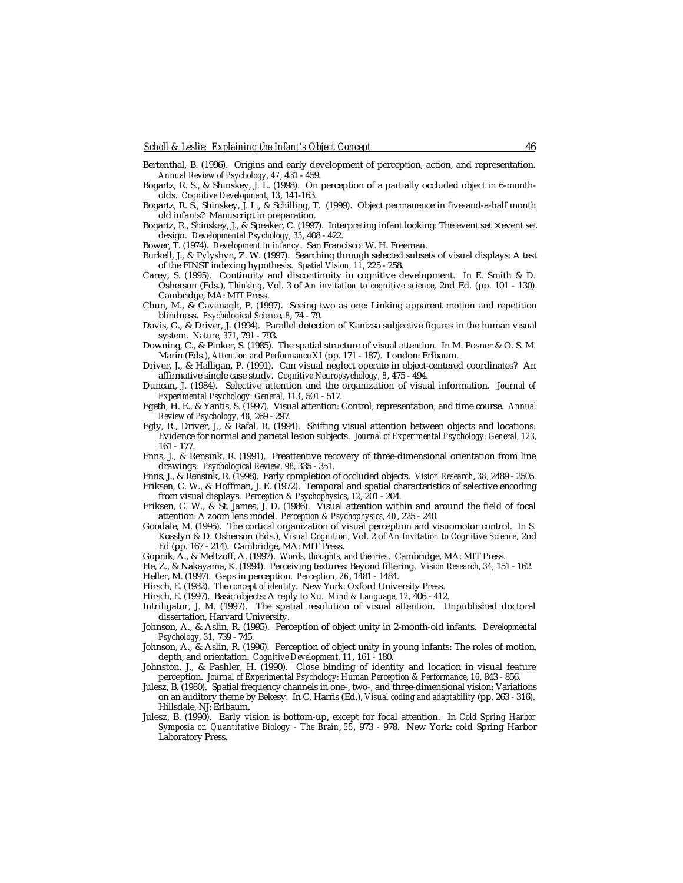- Bogartz, R. S., & Shinskey, J. L. (1998). On perception of a partially occluded object in 6-montholds. *Cognitive Development*, *13*, 141-163.
- Bogartz, R. S., Shinskey, J. L., & Schilling, T. (1999). Object permanence in five-and-a-half month old infants? Manuscript in preparation.
- Bogartz, R., Shinskey, J., & Speaker, C. (1997). Interpreting infant looking: The event set × event set design. *Developmental Psychology, 33*, 408 - 422.
- Bower, T. (1974). *Development in infancy*. San Francisco: W. H. Freeman.
- Burkell, J., & Pylyshyn, Z. W. (1997). Searching through selected subsets of visual displays: A test of the FINST indexing hypothesis. *Spatial Vision, 11*, 225 - 258.
- Carey, S. (1995). Continuity and discontinuity in cognitive development. In E. Smith & D. Osherson (Eds.), *Thinking*, Vol. 3 of *An invitation to cognitive science*, 2nd Ed. (pp. 101 - 130). Cambridge, MA: MIT Press.
- Chun, M., & Cavanagh, P. (1997). Seeing two as one: Linking apparent motion and repetition blindness. *Psychological Science, 8*, 74 - 79.
- Davis, G., & Driver, J. (1994). Parallel detection of Kanizsa subjective figures in the human visual system. *Nature, 371*, 791 - 793.
- Downing, C., & Pinker, S. (1985). The spatial structure of visual attention. In M. Posner & O. S. M. Marin (Eds.), *Attention and Performance XI* (pp. 171 - 187). London: Erlbaum.
- Driver, J., & Halligan, P. (1991). Can visual neglect operate in object-centered coordinates? An affirmative single case study. *Cognitive Neuropsychology, 8*, 475 - 494.

Duncan, J. (1984). Selective attention and the organization of visual information. *Journal of Experimental Psychology: General, 113*, 501 - 517.

- Egeth, H. E., & Yantis, S. (1997). Visual attention: Control, representation, and time course. *Annual Review of Psychology, 48*, 269 - 297.
- Egly, R., Driver, J., & Rafal, R. (1994). Shifting visual attention between objects and locations: Evidence for normal and parietal lesion subjects. *Journal of Experimental Psychology: General, 123*, 161 - 177.
- Enns, J., & Rensink, R. (1991). Preattentive recovery of three-dimensional orientation from line drawings. *Psychological Review, 98*, 335 - 351.
- Enns, J., & Rensink, R. (1998). Early completion of occluded objects. *Vision Research*, *38*, 2489 2505. Eriksen, C. W., & Hoffman, J. E. (1972). Temporal and spatial characteristics of selective encoding from visual displays. *Perception & Psychophysics, 12*, 201 - 204.
- Eriksen, C. W., & St. James, J. D. (1986). Visual attention within and around the field of focal attention: A zoom lens model. *Perception & Psychophysics, 40*, 225 - 240.
- Goodale, M. (1995). The cortical organization of visual perception and visuomotor control. In S. Kosslyn & D. Osherson (Eds.), *Visual Cognition*, Vol. 2 of *An Invitation to Cognitive Science*, 2nd Ed (pp. 167 - 214). Cambridge, MA: MIT Press.

Gopnik, A., & Meltzoff, A. (1997). *Words, thoughts, and theories*. Cambridge, MA: MIT Press.

- He, Z., & Nakayama, K. (1994). Perceiving textures: Beyond filtering. *Vision Research, 34,* 151 162.
- Heller, M. (1997). Gaps in perception. *Perception, 26*, 1481 1484.
- Hirsch, E. (1982). *The concept of identity*. New York: Oxford University Press.
- Hirsch, E. (1997). Basic objects: A reply to Xu. *Mind & Language*, *12*, 406 412.
- Intriligator, J. M. (1997). The spatial resolution of visual attention. Unpublished doctoral dissertation, Harvard University.
- Johnson, A., & Aslin, R. (1995). Perception of object unity in 2-month-old infants. *Developmental Psychology, 31,* 739 - 745.
- Johnson, A., & Aslin, R. (1996). Perception of object unity in young infants: The roles of motion, depth, and orientation. *Cognitive Development, 11*, 161 - 180.
- Johnston, J., & Pashler, H. (1990). Close binding of identity and location in visual feature perception. *Journal of Experimental Psychology: Human Perception & Performance, 16*, 843 - 856.
- Julesz, B. (1980). Spatial frequency channels in one-, two-, and three-dimensional vision: Variations on an auditory theme by Bekesy. In C. Harris (Ed.), *Visual coding and adaptability* (pp. 263 - 316). Hillsdale, NJ: Erlbaum.
- Julesz, B. (1990). Early vision is bottom-up, except for focal attention. In *Cold Spring Harbor Symposia on Quantitative Biology - The Brain*, *55*, 973 - 978. New York: cold Spring Harbor Laboratory Press.

Bertenthal, B. (1996). Origins and early development of perception, action, and representation. *Annual Review of Psychology, 47*, 431 - 459.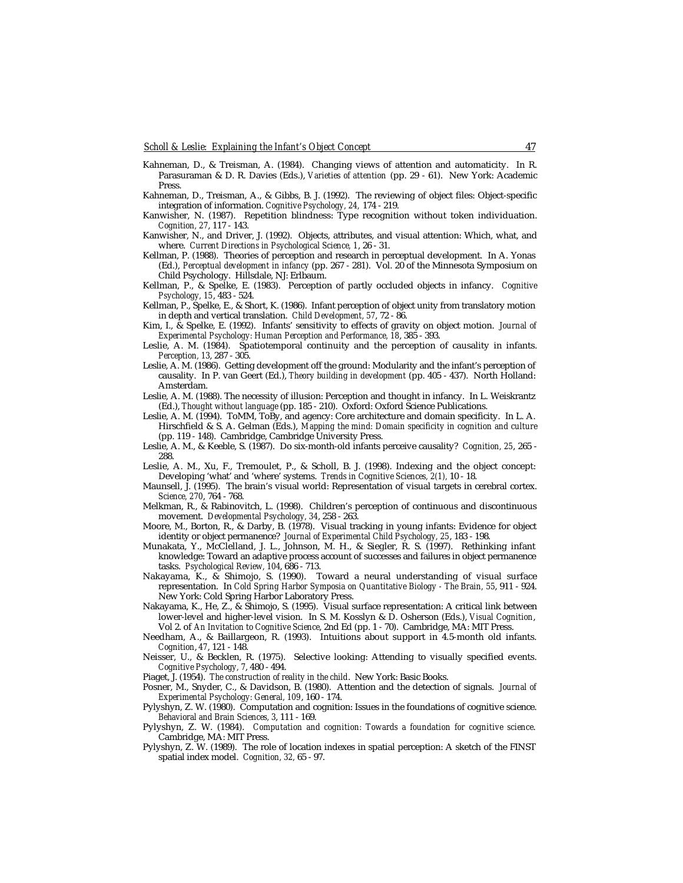- Kahneman, D., & Treisman, A. (1984). Changing views of attention and automaticity. In R. Parasuraman & D. R. Davies (Eds.), *Varieties of attention* (pp. 29 - 61). New York: Academic Press.
- Kahneman, D., Treisman, A., & Gibbs, B. J. (1992). The reviewing of object files: Object-specific integration of information. *Cognitive Psychology, 24,* 174 - 219.
- Kanwisher, N. (1987). Repetition blindness: Type recognition without token individuation. *Cognition, 27*, 117 - 143.
- Kanwisher, N., and Driver, J. (1992). Objects, attributes, and visual attention: Which, what, and where. *Current Directions in Psychological Science, 1*, 26 - 31.
- Kellman, P. (1988). Theories of perception and research in perceptual development. In A. Yonas (Ed.), *Perceptual development in infancy* (pp. 267 - 281). Vol. 20 of the Minnesota Symposium on Child Psychology. Hillsdale, NJ: Erlbaum.
- Kellman, P., & Spelke, E. (1983). Perception of partly occluded objects in infancy. *Cognitive Psychology, 15*, 483 - 524.
- Kellman, P., Spelke, E., & Short, K. (1986). Infant perception of object unity from translatory motion in depth and vertical translation. *Child Development, 57*, 72 - 86.
- Kim, I., & Spelke, E. (1992). Infants' sensitivity to effects of gravity on object motion. *Journal of Experimental Psychology: Human Perception and Performance, 18*, 385 - 393.
- Leslie, A. M. (1984). Spatiotemporal continuity and the perception of causality in infants. *Perception, 13*, 287 - 305.
- Leslie, A. M. (1986). Getting development off the ground: Modularity and the infant's perception of causality. In P. van Geert (Ed.), *Theory building in development* (pp. 405 - 437). North Holland: Amsterdam.
- Leslie, A. M. (1988). The necessity of illusion: Perception and thought in infancy. In L. Weiskrantz (Ed.), *Thought without language* (pp. 185 - 210). Oxford: Oxford Science Publications.
- Leslie, A. M. (1994). ToMM, ToBy, and agency: Core architecture and domain specificity. In L. A. Hirschfield & S. A. Gelman (Eds.), *Mapping the mind: Domain specificity in cognition and culture* (pp. 119 - 148). Cambridge, Cambridge University Press.
- Leslie, A. M., & Keeble, S. (1987). Do six-month-old infants perceive causality? *Cognition, 25*, 265 288.
- Leslie, A. M., Xu, F., Tremoulet, P., & Scholl, B. J. (1998). Indexing and the object concept: Developing 'what' and 'where' systems. *Trends in Cognitive Sciences, 2(1),* 10 - 18.
- Maunsell, J. (1995). The brain's visual world: Representation of visual targets in cerebral cortex. *Science, 270*, 764 - 768.
- Melkman, R., & Rabinovitch, L. (1998). Children's perception of continuous and discontinuous movement. *Developmental Psychology, 34*, 258 - 263.
- Moore, M., Borton, R., & Darby, B. (1978). Visual tracking in young infants: Evidence for object identity or object permanence? *Journal of Experimental Child Psychology, 25*, 183 - 198.
- Munakata, Y., McClelland, J. L., Johnson, M. H., & Siegler, R. S. (1997). Rethinking infant knowledge: Toward an adaptive process account of successes and failures in object permanence tasks. *Psychological Review, 104*, 686 - 713.
- Nakayama, K., & Shimojo, S. (1990). Toward a neural understanding of visual surface representation. In *Cold Spring Harbor Symposia on Quantitative Biology - The Brain, 55*, 911 - 924. New York: Cold Spring Harbor Laboratory Press.
- Nakayama, K., He, Z., & Shimojo, S. (1995). Visual surface representation: A critical link between lower-level and higher-level vision. In S. M. Kosslyn & D. Osherson (Eds.), *Visual Cognition*, Vol 2. of *An Invitation to Cognitive Science*, 2nd Ed (pp. 1 - 70). Cambridge, MA: MIT Press.
- Needham, A., & Baillargeon, R. (1993). Intuitions about support in 4.5-month old infants. *Cognition*, *47*, 121 - 148.
- Neisser, U., & Becklen, R. (1975). Selective looking: Attending to visually specified events. *Cognitive Psychology, 7*, 480 - 494.
- Piaget, J. (1954). *The construction of reality in the child*. New York: Basic Books.
- Posner, M., Snyder, C., & Davidson, B. (1980). Attention and the detection of signals. *Journal of Experimental Psychology: General, 109*, 160 - 174.
- Pylyshyn, Z. W. (1980). Computation and cognition: Issues in the foundations of cognitive science. *Behavioral and Brain Sciences, 3*, 111 - 169.
- Pylyshyn, Z. W. (1984). *Computation and cognition: Towards a foundation for cognitive science*. Cambridge, MA: MIT Press.
- Pylyshyn, Z. W. (1989). The role of location indexes in spatial perception: A sketch of the FINST spatial index model. *Cognition, 32,* 65 - 97.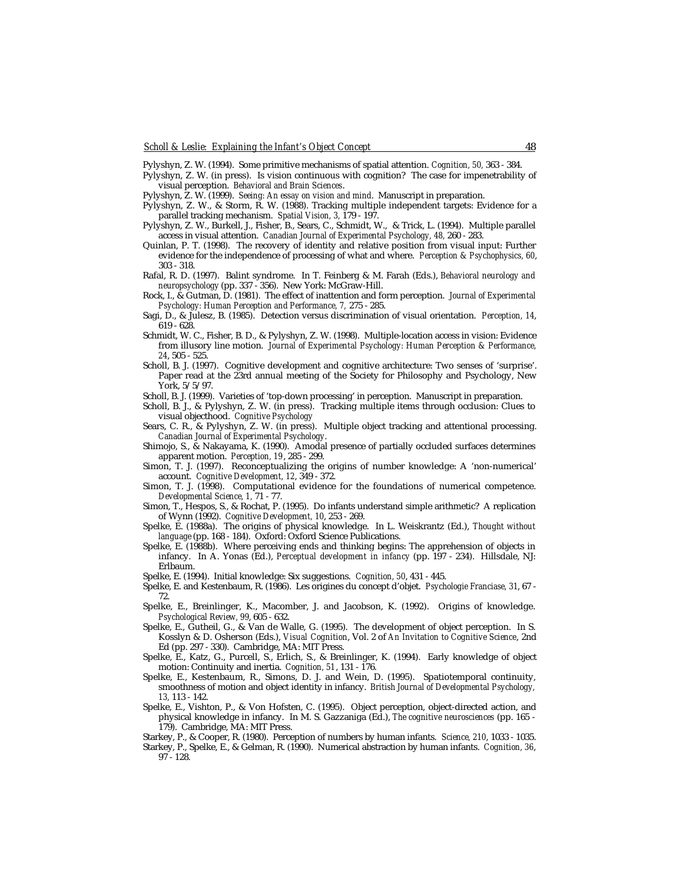Pylyshyn, Z. W. (1994). Some primitive mechanisms of spatial attention. *Cognition, 50,* 363 - 384.

Pylyshyn, Z. W. (in press). Is vision continuous with cognition? The case for impenetrability of visual perception. *Behavioral and Brain Sciences*.

Pylyshyn, Z. W. (1999). *Seeing: An essay on vision and mind*. Manuscript in preparation.

- Pylyshyn, Z. W., & Storm, R. W. (1988). Tracking multiple independent targets: Evidence for a parallel tracking mechanism. *Spatial Vision, 3,* 179 - 197.
- Pylyshyn, Z. W., Burkell, J., Fisher, B., Sears, C., Schmidt, W., & Trick, L. (1994). Multiple parallel access in visual attention. *Canadian Journal of Experimental Psychology, 48,* 260 - 283.
- Quinlan, P. T. (1998). The recovery of identity and relative position from visual input: Further evidence for the independence of processing of what and where. *Perception & Psychophysics, 60*, 303 - 318.
- Rafal, R. D. (1997). Balint syndrome. In T. Feinberg & M. Farah (Eds.), *Behavioral neurology and neuropsychology* (pp. 337 - 356). New York: McGraw-Hill.
- Rock, I., & Gutman, D. (1981). The effect of inattention and form perception. *Journal of Experimental Psychology: Human Perception and Performance, 7,* 275 - 285.
- Sagi, D., & Julesz, B. (1985). Detection versus discrimination of visual orientation. *Perception, 14*, 619 - 628.
- Schmidt, W. C., Fisher, B. D., & Pylyshyn, Z. W. (1998). Multiple-location access in vision: Evidence from illusory line motion. *Journal of Experimental Psychology: Human Perception & Performance, 24*, 505 - 525.
- Scholl, B. J. (1997). Cognitive development and cognitive architecture: Two senses of 'surprise'. Paper read at the 23rd annual meeting of the Society for Philosophy and Psychology, New York, 5/5/97.
- Scholl, B. J. (1999). Varieties of 'top-down processing' in perception. Manuscript in preparation.
- Scholl, B. J., & Pylyshyn, Z. W. (in press). Tracking multiple items through occlusion: Clues to visual objecthood. *Cognitive Psychology*
- Sears, C. R., & Pylyshyn, Z. W. (in press). Multiple object tracking and attentional processing. *Canadian Journal of Experimental Psychology*.
- Shimojo, S., & Nakayama, K. (1990). Amodal presence of partially occluded surfaces determines apparent motion. *Perception, 19*, 285 - 299.
- Simon, T. J. (1997). Reconceptualizing the origins of number knowledge: A 'non-numerical' account. *Cognitive Development, 12*, 349 - 372.
- Simon, T. J. (1998). Computational evidence for the foundations of numerical competence. *Developmental Science, 1,* 71 - 77.
- Simon, T., Hespos, S., & Rochat, P. (1995). Do infants understand simple arithmetic? A replication of Wynn (1992). *Cognitive Development, 10*, 253 - 269.
- Spelke, E. (1988a). The origins of physical knowledge. In L. Weiskrantz (Ed.), *Thought without language* (pp. 168 - 184). Oxford: Oxford Science Publications.
- Spelke, E. (1988b). Where perceiving ends and thinking begins: The apprehension of objects in infancy. In A. Yonas (Ed.), *Perceptual development in infancy* (pp. 197 - 234). Hillsdale, NJ: Erlbaum.
- Spelke, E. (1994). Initial knowledge: Six suggestions. *Cognition, 50*, 431 445.
- Spelke, E. and Kestenbaum, R. (1986). Les origines du concept d'objet. *Psychologie Franciase, 31*, 67 72.
- Spelke, E., Breinlinger, K., Macomber, J. and Jacobson, K. (1992). Origins of knowledge. *Psychological Review, 99*, 605 - 632.
- Spelke, E., Gutheil, G., & Van de Walle, G. (1995). The development of object perception. In S. Kosslyn & D. Osherson (Eds.), *Visual Cognition*, Vol. 2 of *An Invitation to Cognitive Science*, 2nd Ed (pp. 297 - 330). Cambridge, MA: MIT Press.

Spelke, E., Katz, G., Purcell, S., Erlich, S., & Breinlinger, K. (1994). Early knowledge of object motion: Continuity and inertia. *Cognition, 51*, 131 - 176.

- Spelke, E., Kestenbaum, R., Simons, D. J. and Wein, D. (1995). Spatiotemporal continuity, smoothness of motion and object identity in infancy. *British Journal of Developmental Psychology, 13,* 113 - 142.
- Spelke, E., Vishton, P., & Von Hofsten, C. (1995). Object perception, object-directed action, and physical knowledge in infancy. In M. S. Gazzaniga (Ed.), *The cognitive neurosciences* (pp. 165 - 179). Cambridge, MA: MIT Press.
- Starkey, P., & Cooper, R. (1980). Perception of numbers by human infants. *Science, 210*, 1033 1035. Starkey, P., Spelke, E., & Gelman, R. (1990). Numerical abstraction by human infants. *Cognition, 36*, 97 - 128.